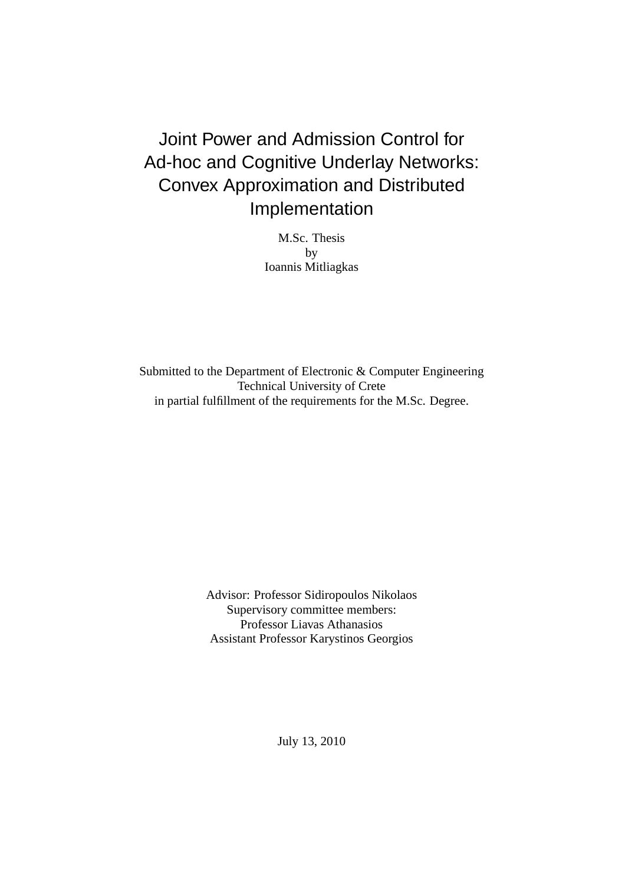## Joint Power and Admission Control for Ad-hoc and Cognitive Underlay Networks: Convex Approximation and Distributed Implementation

M.Sc. Thesis by Ioannis Mitliagkas

Submitted to the Department of Electronic & Computer Engineering Technical University of Crete in partial fulfillment of the requirements for the M.Sc. Degree.

> Advisor: Professor Sidiropoulos Nikolaos Supervisory committee members: Professor Liavas Athanasios Assistant Professor Karystinos Georgios

> > July 13, 2010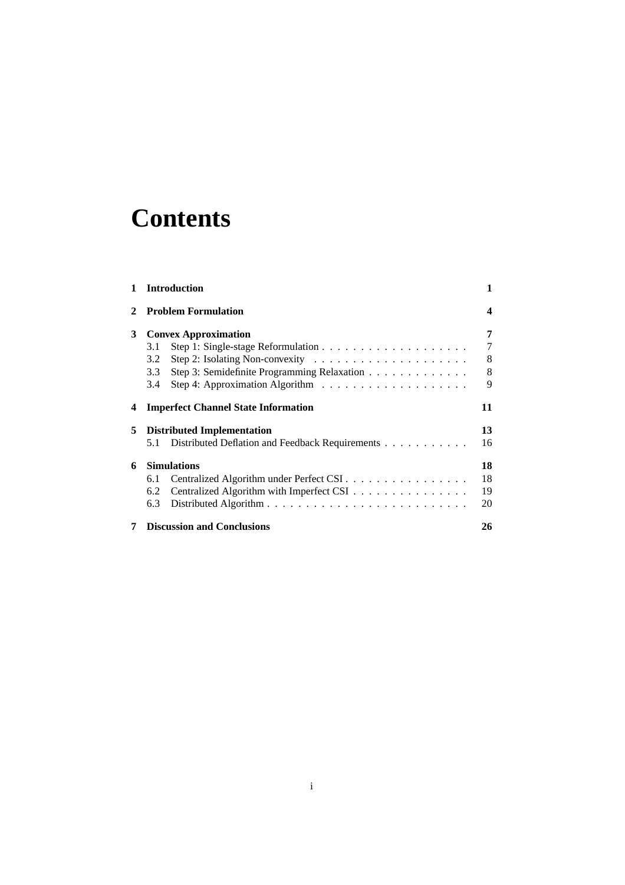# **Contents**

| $\mathbf{1}$ |                                   | <b>Introduction</b>                                                         | 1  |
|--------------|-----------------------------------|-----------------------------------------------------------------------------|----|
| 2            |                                   | <b>Problem Formulation</b>                                                  | 4  |
| 3            | <b>Convex Approximation</b>       |                                                                             | 7  |
|              | 3.1                               |                                                                             | 7  |
|              | 3.2                               | Step 2: Isolating Non-convexity $\ldots \ldots \ldots \ldots \ldots \ldots$ | 8  |
|              | 3.3                               | Step 3: Semidefinite Programming Relaxation                                 | 8  |
|              | 3.4                               |                                                                             | 9  |
| 4            |                                   | <b>Imperfect Channel State Information</b>                                  | 11 |
| 5            | <b>Distributed Implementation</b> |                                                                             | 13 |
|              | 5.1                               | Distributed Deflation and Feedback Requirements                             | 16 |
| 6            | <b>Simulations</b>                |                                                                             | 18 |
|              | 6.1                               | Centralized Algorithm under Perfect CSI                                     | 18 |
|              | 6.2                               | Centralized Algorithm with Imperfect CSI                                    | 19 |
|              | 6.3                               |                                                                             | 20 |
| 7            |                                   | <b>Discussion and Conclusions</b>                                           | 26 |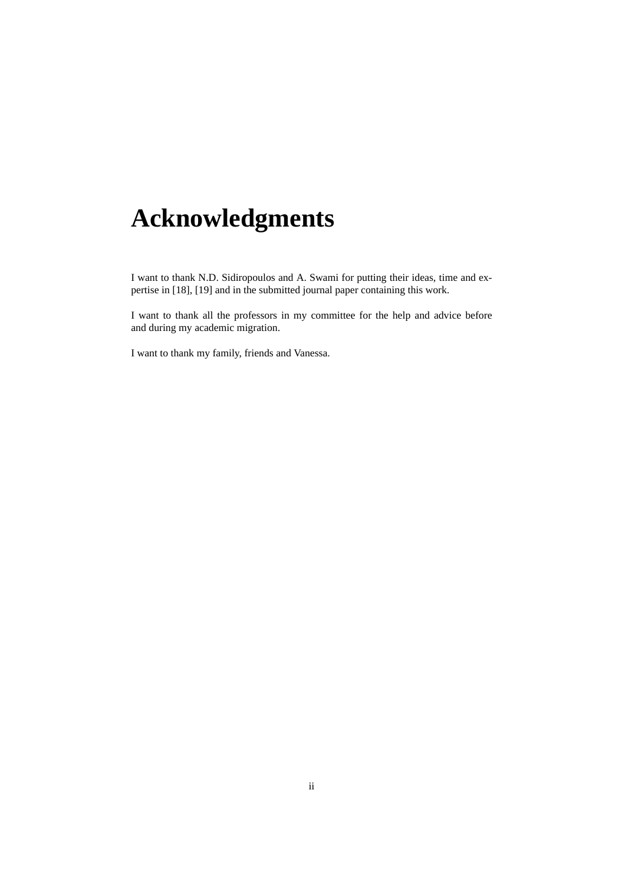# **Acknowledgments**

I want to thank N.D. Sidiropoulos and A. Swami for putting their ideas, time and expertise in [18], [19] and in the submitted journal paper containing this work.

I want to thank all the professors in my committee for the help and advice before and during my academic migration.

I want to thank my family, friends and Vanessa.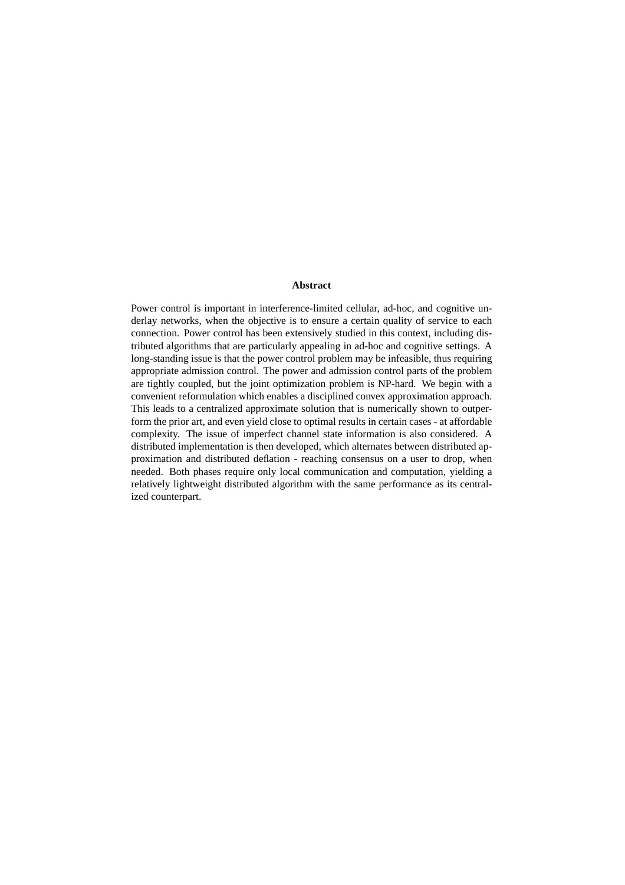#### **Abstract**

Power control is important in interference-limited cellular, ad-hoc, and cognitive underlay networks, when the objective is to ensure a certain quality of service to each connection. Power control has been extensively studied in this context, including distributed algorithms that are particularly appealing in ad-hoc and cognitive settings. A long-standing issue is that the power control problem may be infeasible, thus requiring appropriate admission control. The power and admission control parts of the problem are tightly coupled, but the joint optimization problem is NP-hard. We begin with a convenient reformulation which enables a disciplined convex approximation approach. This leads to a centralized approximate solution that is numerically shown to outperform the prior art, and even yield close to optimal results in certain cases - at affordable complexity. The issue of imperfect channel state information is also considered. A distributed implementation is then developed, which alternates between distributed approximation and distributed deflation - reaching consensus on a user to drop, when needed. Both phases require only local communication and computation, yielding a relatively lightweight distributed algorithm with the same performance as its centralized counterpart.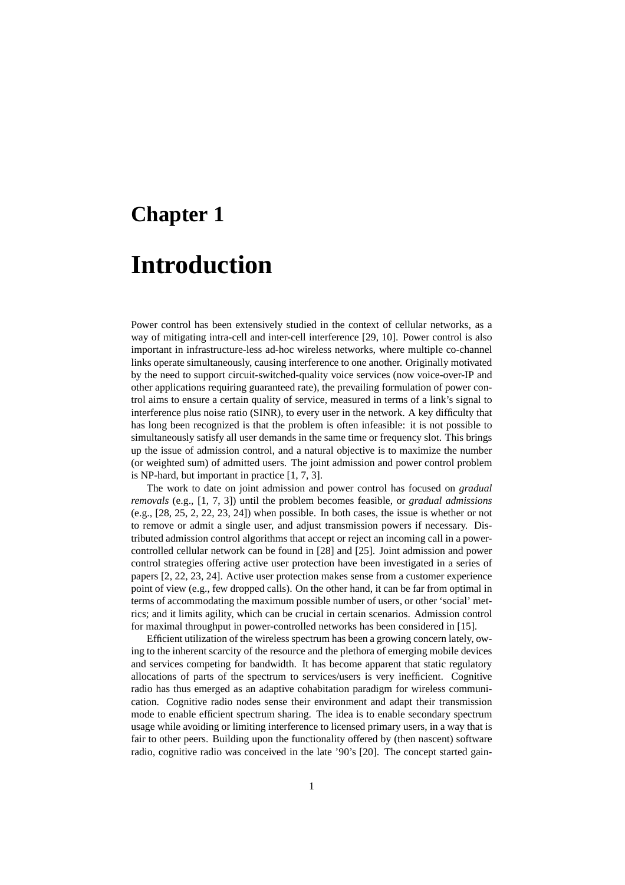# **Introduction**

Power control has been extensively studied in the context of cellular networks, as a way of mitigating intra-cell and inter-cell interference [29, 10]. Power control is also important in infrastructure-less ad-hoc wireless networks, where multiple co-channel links operate simultaneously, causing interference to one another. Originally motivated by the need to support circuit-switched-quality voice services (now voice-over-IP and other applications requiring guaranteed rate), the prevailing formulation of power control aims to ensure a certain quality of service, measured in terms of a link's signal to interference plus noise ratio (SINR), to every user in the network. A key difficulty that has long been recognized is that the problem is often infeasible: it is not possible to simultaneously satisfy all user demands in the same time or frequency slot. This brings up the issue of admission control, and a natural objective is to maximize the number (or weighted sum) of admitted users. The joint admission and power control problem is NP-hard, but important in practice [1, 7, 3].

The work to date on joint admission and power control has focused on *gradual removals* (e.g., [1, 7, 3]) until the problem becomes feasible, or *gradual admissions*  $(e.g., [28, 25, 2, 22, 23, 24])$  when possible. In both cases, the issue is whether or not to remove or admit a single user, and adjust transmission powers if necessary. Distributed admission control algorithms that accept or reject an incoming call in a powercontrolled cellular network can be found in [28] and [25]. Joint admission and power control strategies offering active user protection have been investigated in a series of papers [2, 22, 23, 24]. Active user protection makes sense from a customer experience point of view (e.g., few dropped calls). On the other hand, it can be far from optimal in terms of accommodating the maximum possible number of users, or other 'social' metrics; and it limits agility, which can be crucial in certain scenarios. Admission control for maximal throughput in power-controlled networks has been considered in [15].

Efficient utilization of the wireless spectrum has been a growing concern lately, owing to the inherent scarcity of the resource and the plethora of emerging mobile devices and services competing for bandwidth. It has become apparent that static regulatory allocations of parts of the spectrum to services/users is very inefficient. Cognitive radio has thus emerged as an adaptive cohabitation paradigm for wireless communication. Cognitive radio nodes sense their environment and adapt their transmission mode to enable efficient spectrum sharing. The idea is to enable secondary spectrum usage while avoiding or limiting interference to licensed primary users, in a way that is fair to other peers. Building upon the functionality offered by (then nascent) software radio, cognitive radio was conceived in the late '90's [20]. The concept started gain-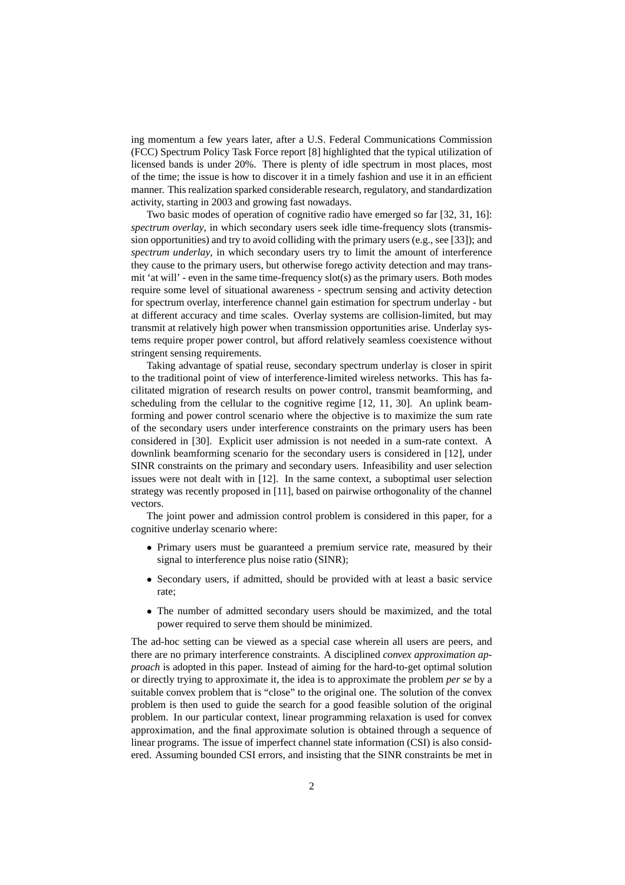ing momentum a few years later, after a U.S. Federal Communications Commission (FCC) Spectrum Policy Task Force report [8] highlighted that the typical utilization of licensed bands is under 20%. There is plenty of idle spectrum in most places, most of the time; the issue is how to discover it in a timely fashion and use it in an efficient manner. This realization sparked considerable research, regulatory, and standardization activity, starting in 2003 and growing fast nowadays.

Two basic modes of operation of cognitive radio have emerged so far [32, 31, 16]: *spectrum overlay*, in which secondary users seek idle time-frequency slots (transmission opportunities) and try to avoid colliding with the primary users (e.g., see [33]); and *spectrum underlay*, in which secondary users try to limit the amount of interference they cause to the primary users, but otherwise forego activity detection and may transmit 'at will' - even in the same time-frequency slot(s) as the primary users. Both modes require some level of situational awareness - spectrum sensing and activity detection for spectrum overlay, interference channel gain estimation for spectrum underlay - but at different accuracy and time scales. Overlay systems are collision-limited, but may transmit at relatively high power when transmission opportunities arise. Underlay systems require proper power control, but afford relatively seamless coexistence without stringent sensing requirements.

Taking advantage of spatial reuse, secondary spectrum underlay is closer in spirit to the traditional point of view of interference-limited wireless networks. This has facilitated migration of research results on power control, transmit beamforming, and scheduling from the cellular to the cognitive regime [12, 11, 30]. An uplink beamforming and power control scenario where the objective is to maximize the sum rate of the secondary users under interference constraints on the primary users has been considered in [30]. Explicit user admission is not needed in a sum-rate context. A downlink beamforming scenario for the secondary users is considered in [12], under SINR constraints on the primary and secondary users. Infeasibility and user selection issues were not dealt with in [12]. In the same context, a suboptimal user selection strategy was recently proposed in [11], based on pairwise orthogonality of the channel vectors.

The joint power and admission control problem is considered in this paper, for a cognitive underlay scenario where:

- Primary users must be guaranteed a premium service rate, measured by their signal to interference plus noise ratio (SINR);
- Secondary users, if admitted, should be provided with at least a basic service rate;
- The number of admitted secondary users should be maximized, and the total power required to serve them should be minimized.

The ad-hoc setting can be viewed as a special case wherein all users are peers, and there are no primary interference constraints. A disciplined *convex approximation approach* is adopted in this paper. Instead of aiming for the hard-to-get optimal solution or directly trying to approximate it, the idea is to approximate the problem *per se* by a suitable convex problem that is "close" to the original one. The solution of the convex problem is then used to guide the search for a good feasible solution of the original problem. In our particular context, linear programming relaxation is used for convex approximation, and the final approximate solution is obtained through a sequence of linear programs. The issue of imperfect channel state information (CSI) is also considered. Assuming bounded CSI errors, and insisting that the SINR constraints be met in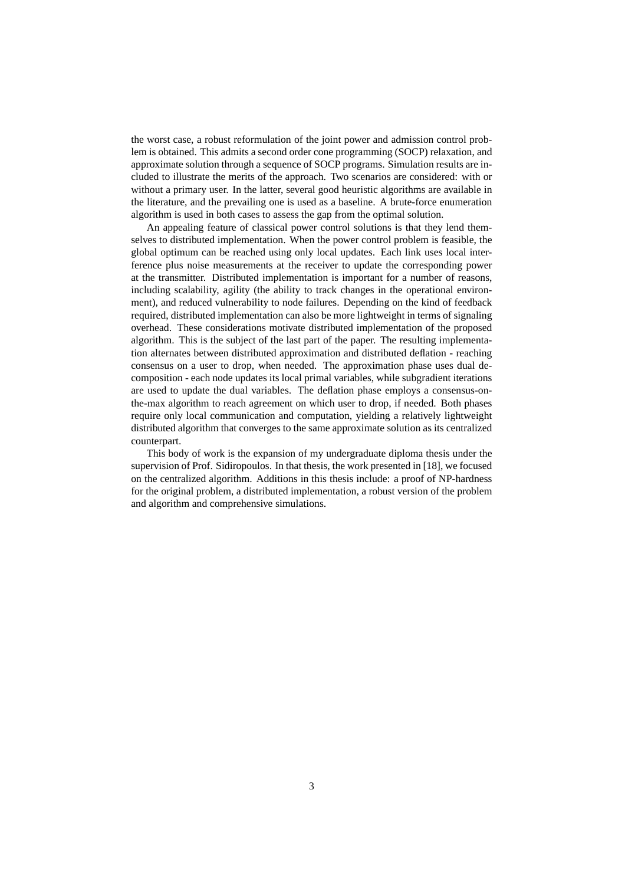the worst case, a robust reformulation of the joint power and admission control problem is obtained. This admits a second order cone programming (SOCP) relaxation, and approximate solution through a sequence of SOCP programs. Simulation results are included to illustrate the merits of the approach. Two scenarios are considered: with or without a primary user. In the latter, several good heuristic algorithms are available in the literature, and the prevailing one is used as a baseline. A brute-force enumeration algorithm is used in both cases to assess the gap from the optimal solution.

An appealing feature of classical power control solutions is that they lend themselves to distributed implementation. When the power control problem is feasible, the global optimum can be reached using only local updates. Each link uses local interference plus noise measurements at the receiver to update the corresponding power at the transmitter. Distributed implementation is important for a number of reasons, including scalability, agility (the ability to track changes in the operational environment), and reduced vulnerability to node failures. Depending on the kind of feedback required, distributed implementation can also be more lightweight in terms of signaling overhead. These considerations motivate distributed implementation of the proposed algorithm. This is the subject of the last part of the paper. The resulting implementation alternates between distributed approximation and distributed deflation - reaching consensus on a user to drop, when needed. The approximation phase uses dual decomposition - each node updates its local primal variables, while subgradient iterations are used to update the dual variables. The deflation phase employs a consensus-onthe-max algorithm to reach agreement on which user to drop, if needed. Both phases require only local communication and computation, yielding a relatively lightweight distributed algorithm that converges to the same approximate solution as its centralized counterpart.

This body of work is the expansion of my undergraduate diploma thesis under the supervision of Prof. Sidiropoulos. In that thesis, the work presented in [18], we focused on the centralized algorithm. Additions in this thesis include: a proof of NP-hardness for the original problem, a distributed implementation, a robust version of the problem and algorithm and comprehensive simulations.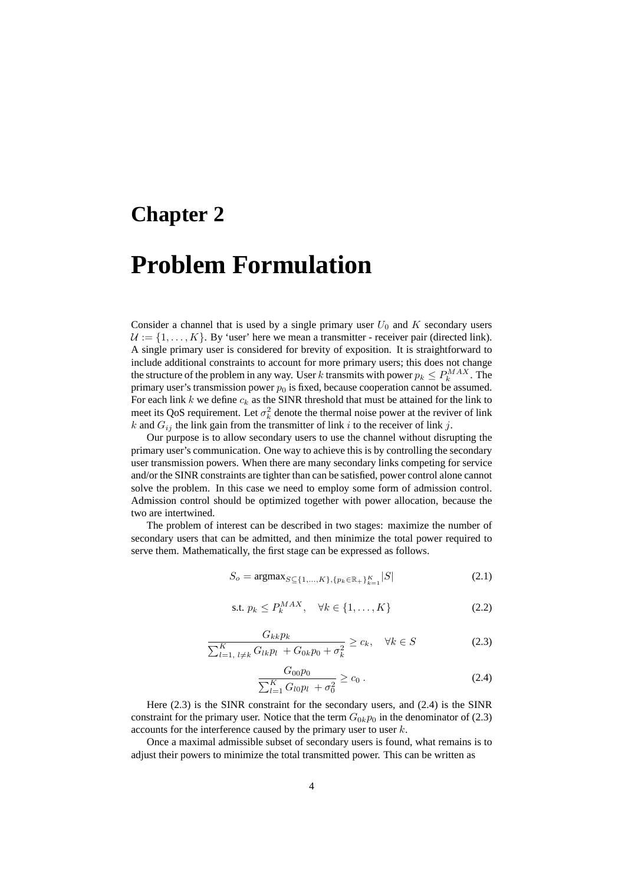# **Problem Formulation**

Consider a channel that is used by a single primary user  $U_0$  and K secondary users  $U := \{1, \ldots, K\}$ . By 'user' here we mean a transmitter - receiver pair (directed link). A single primary user is considered for brevity of exposition. It is straightforward to include additional constraints to account for more primary users; this does not change the structure of the problem in any way. User k transmits with power  $p_k \le P_k^{MAX}$ . The primary user's transmission power  $p_0$  is fixed, because cooperation cannot be assumed. For each link k we define  $c_k$  as the SINR threshold that must be attained for the link to meet its QoS requirement. Let  $\sigma_k^2$  denote the thermal noise power at the reviver of link k and  $G_{ij}$  the link gain from the transmitter of link i to the receiver of link j.

Our purpose is to allow secondary users to use the channel without disrupting the primary user's communication. One way to achieve this is by controlling the secondary user transmission powers. When there are many secondary links competing for service and/or the SINR constraints are tighter than can be satisfied, power control alone cannot solve the problem. In this case we need to employ some form of admission control. Admission control should be optimized together with power allocation, because the two are intertwined.

The problem of interest can be described in two stages: maximize the number of secondary users that can be admitted, and then minimize the total power required to serve them. Mathematically, the first stage can be expressed as follows.

$$
S_o = \text{argmax}_{S \subseteq \{1, ..., K\}, \{p_k \in \mathbb{R}_+\}_{k=1}^K} |S|
$$
\n(2.1)

$$
\text{s.t. } p_k \le P_k^{MAX}, \quad \forall k \in \{1, \dots, K\} \tag{2.2}
$$

$$
\frac{G_{kk}p_k}{\sum_{l=1,\ l\neq k}^K G_{lk}p_l + G_{0k}p_0 + \sigma_k^2} \ge c_k, \quad \forall k \in S
$$
\n(2.3)

$$
\frac{G_{00}p_0}{\sum_{l=1}^K G_{l0}p_l + \sigma_0^2} \ge c_0.
$$
\n(2.4)

Here (2.3) is the SINR constraint for the secondary users, and (2.4) is the SINR constraint for the primary user. Notice that the term  $G_{0k}p_0$  in the denominator of (2.3) accounts for the interference caused by the primary user to user  $k$ .

Once a maximal admissible subset of secondary users is found, what remains is to adjust their powers to minimize the total transmitted power. This can be written as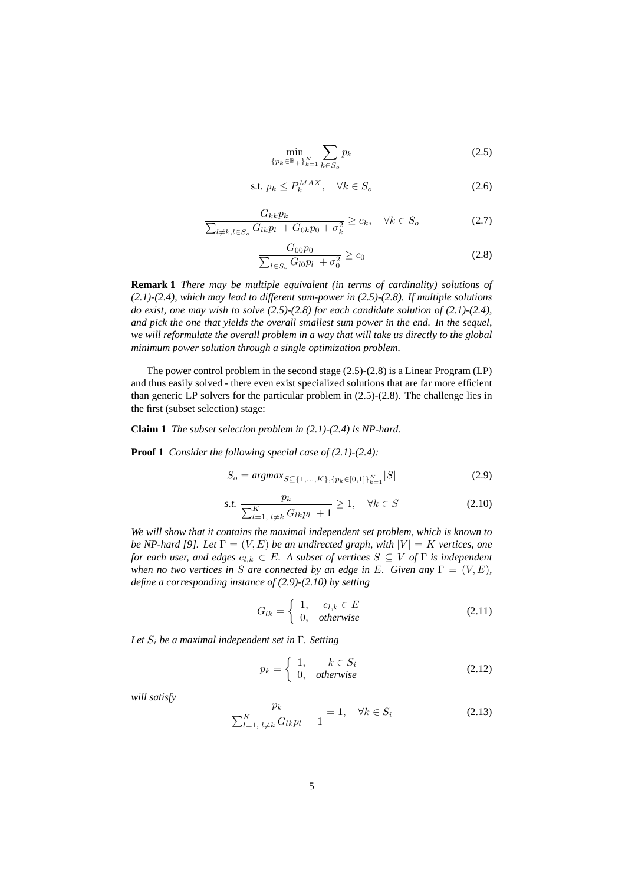$$
\min_{\{p_k \in \mathbb{R}_+\}_{k=1}^K} \sum_{k \in S_o} p_k \tag{2.5}
$$

$$
\text{s.t. } p_k \le P_k^{MAX}, \quad \forall k \in S_o \tag{2.6}
$$

$$
\frac{G_{kk}p_k}{\sum_{l \neq k, l \in S_o} G_{lk}p_l + G_{0k}p_0 + \sigma_k^2} \ge c_k, \quad \forall k \in S_o \tag{2.7}
$$

$$
\frac{G_{00}p_0}{\sum_{l \in S_o} G_{l0}p_l + \sigma_0^2} \ge c_0
$$
\n(2.8)

**Remark 1** *There may be multiple equivalent (in terms of cardinality) solutions of (2.1)-(2.4), which may lead to different sum-power in (2.5)-(2.8). If multiple solutions do exist, one may wish to solve (2.5)-(2.8) for each candidate solution of (2.1)-(2.4), and pick the one that yields the overall smallest sum power in the end. In the sequel, we will reformulate the overall problem in a way that will take us directly to the global minimum power solution through a single optimization problem.*

The power control problem in the second stage (2.5)-(2.8) is a Linear Program (LP) and thus easily solved - there even exist specialized solutions that are far more efficient than generic LP solvers for the particular problem in (2.5)-(2.8). The challenge lies in the first (subset selection) stage:

**Claim 1** *The subset selection problem in (2.1)-(2.4) is NP-hard.*

**Proof 1** *Consider the following special case of (2.1)-(2.4):*

$$
S_o = \text{argmax}_{S \subseteq \{1, \dots, K\}, \{p_k \in [0, 1]\}_{k=1}^K} |S| \tag{2.9}
$$

s.t. 
$$
\frac{p_k}{\sum_{l=1, l \neq k}^{K} G_{lk} p_l + 1} \ge 1, \quad \forall k \in S
$$
 (2.10)

*We will show that it contains the maximal independent set problem, which is known to be NP-hard [9]. Let*  $\Gamma = (V, E)$  *be an undirected graph, with*  $|V| = K$  *vertices, one for each user, and edges*  $e_{l,k} \in E$ . A subset of vertices  $S \subseteq V$  of  $\Gamma$  *is independent when no two vertices in* S *are connected by an edge in* E. Given any  $\Gamma = (V, E)$ *, define a corresponding instance of (2.9)-(2.10) by setting*

$$
G_{lk} = \begin{cases} 1, & e_{l,k} \in E \\ 0, & otherwise \end{cases}
$$
 (2.11)

*Let* S<sup>i</sup> *be a maximal independent set in* Γ*. Setting*

$$
p_k = \begin{cases} 1, & k \in S_i \\ 0, & otherwise \end{cases}
$$
 (2.12)

*will satisfy*

$$
\frac{p_k}{\sum_{l=1, l \neq k}^{K} G_{lk} p_l + 1} = 1, \quad \forall k \in S_i
$$
\n(2.13)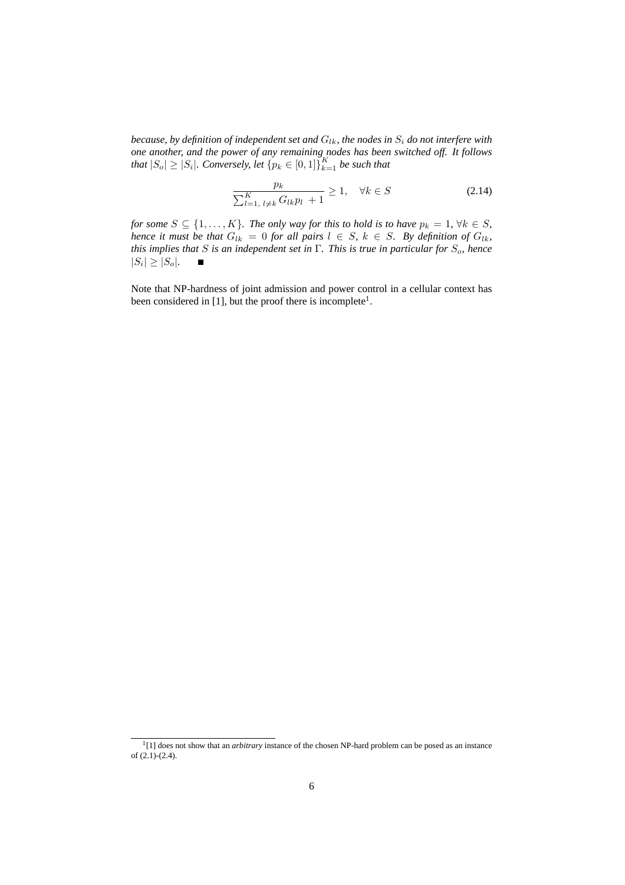*because, by definition of independent set and*  $G_{lk}$ *, the nodes in*  $S_i$  *do not interfere with one another, and the power of any remaining nodes has been switched off. It follows that*  $|S_o| \geq |S_i|$ *. Conversely, let*  $\{p_k \in [0,1]\}_{k=1}^K$  *be such that* 

$$
\frac{p_k}{\sum_{l=1, l \neq k}^{K} G_{lk} p_l + 1} \ge 1, \quad \forall k \in S
$$
\n(2.14)

*for some*  $S \subseteq \{1, \ldots, K\}$ *. The only way for this to hold is to have*  $p_k = 1, \forall k \in S$ *, hence it must be that*  $G_{lk} = 0$  *for all pairs*  $l \in S$ ,  $k \in S$ *. By definition of*  $G_{lk}$ *, this implies that S is an independent set in* Γ. *This is true in particular for*  $S_0$ *, hence*  $|S_i| \geq |S_o|$ .  $\blacksquare$ 

Note that NP-hardness of joint admission and power control in a cellular context has been considered in [1], but the proof there is incomplete<sup>1</sup>.

<sup>&</sup>lt;sup>1</sup>[1] does not show that an *arbitrary* instance of the chosen NP-hard problem can be posed as an instance of  $(2.1)-(2.4)$ .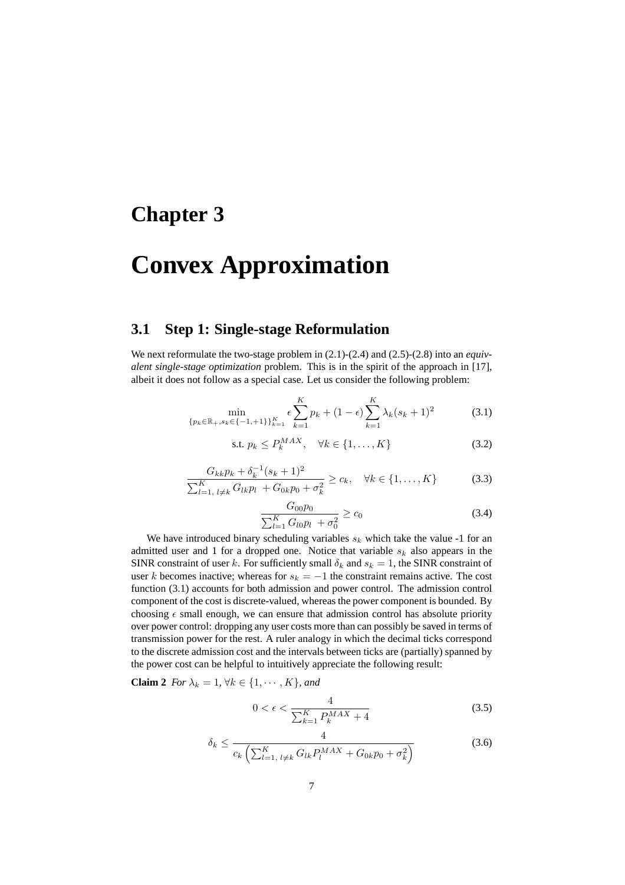# **Convex Approximation**

### **3.1 Step 1: Single-stage Reformulation**

We next reformulate the two-stage problem in (2.1)-(2.4) and (2.5)-(2.8) into an *equivalent single-stage optimization* problem. This is in the spirit of the approach in [17], albeit it does not follow as a special case. Let us consider the following problem:

$$
\min_{\{p_k \in \mathbb{R}_+, s_k \in \{-1, +1\}\}_{k=1}^K} \epsilon \sum_{k=1}^K p_k + (1 - \epsilon) \sum_{k=1}^K \lambda_k (s_k + 1)^2 \tag{3.1}
$$

$$
\text{s.t. } p_k \le P_k^{MAX}, \quad \forall k \in \{1, \dots, K\} \tag{3.2}
$$

$$
\frac{G_{kk}p_k + \delta_k^{-1}(s_k + 1)^2}{\sum_{l=1, l \neq k}^{K} G_{lk}p_l + G_{0k}p_0 + \sigma_k^2} \ge c_k, \quad \forall k \in \{1, ..., K\}
$$
\n(3.3)

$$
\frac{G_{00}p_0}{\sum_{l=1}^K G_{l0}p_l + \sigma_0^2} \ge c_0
$$
\n(3.4)

We have introduced binary scheduling variables  $s_k$  which take the value -1 for an admitted user and 1 for a dropped one. Notice that variable  $s_k$  also appears in the SINR constraint of user k. For sufficiently small  $\delta_k$  and  $s_k = 1$ , the SINR constraint of user k becomes inactive; whereas for  $s_k = -1$  the constraint remains active. The cost function (3.1) accounts for both admission and power control. The admission control component of the cost is discrete-valued, whereas the power component is bounded. By choosing  $\epsilon$  small enough, we can ensure that admission control has absolute priority over power control: dropping any user costs more than can possibly be saved in terms of transmission power for the rest. A ruler analogy in which the decimal ticks correspond to the discrete admission cost and the intervals between ticks are (partially) spanned by the power cost can be helpful to intuitively appreciate the following result:

**Claim 2** *For*  $\lambda_k = 1$ ,  $\forall k \in \{1, \dots, K\}$ *, and* 

$$
0 < \epsilon < \frac{4}{\sum_{k=1}^{K} P_k^{MAX} + 4} \tag{3.5}
$$

$$
\delta_k \le \frac{4}{c_k \left( \sum_{l=1, l \ne k}^{K} G_{lk} P_l^{MAX} + G_{0k} p_0 + \sigma_k^2 \right)}
$$
(3.6)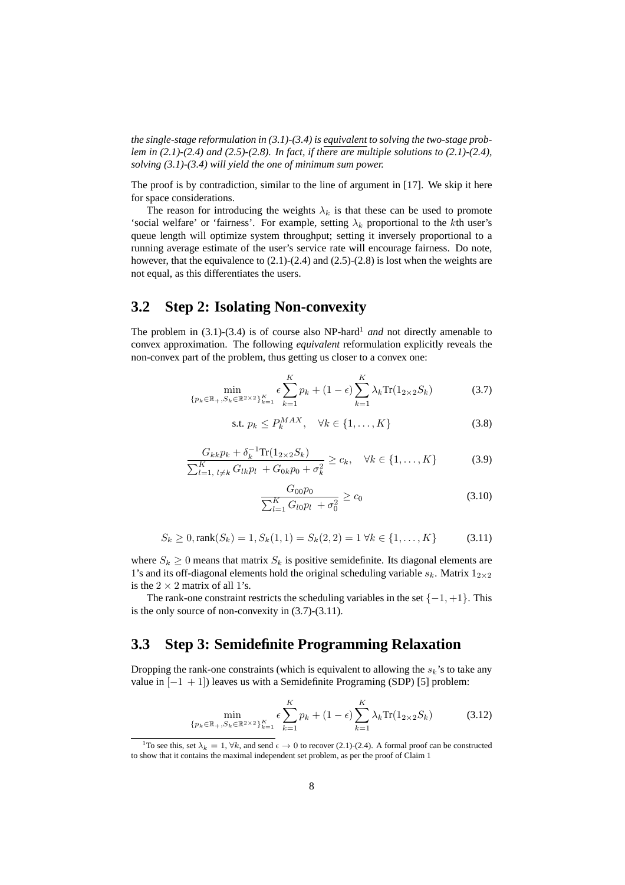*the single-stage reformulation in (3.1)-(3.4) is equivalent to solving the two-stage problem in (2.1)-(2.4) and (2.5)-(2.8). In fact, if there are multiple solutions to (2.1)-(2.4), solving (3.1)-(3.4) will yield the one of minimum sum power.*

The proof is by contradiction, similar to the line of argument in [17]. We skip it here for space considerations.

The reason for introducing the weights  $\lambda_k$  is that these can be used to promote 'social welfare' or 'fairness'. For example, setting  $\lambda_k$  proportional to the kth user's queue length will optimize system throughput; setting it inversely proportional to a running average estimate of the user's service rate will encourage fairness. Do note, however, that the equivalence to  $(2.1)-(2.4)$  and  $(2.5)-(2.8)$  is lost when the weights are not equal, as this differentiates the users.

#### **3.2 Step 2: Isolating Non-convexity**

The problem in  $(3.1)-(3.4)$  is of course also NP-hard<sup>1</sup> *and* not directly amenable to convex approximation. The following *equivalent* reformulation explicitly reveals the non-convex part of the problem, thus getting us closer to a convex one:

$$
\min_{\{p_k \in \mathbb{R}_+, S_k \in \mathbb{R}^{2 \times 2}\}_{k=1}^K} \epsilon \sum_{k=1}^K p_k + (1 - \epsilon) \sum_{k=1}^K \lambda_k \text{Tr}(\mathbf{1}_{2 \times 2} S_k)
$$
(3.7)

$$
\text{s.t. } p_k \le P_k^{MAX}, \quad \forall k \in \{1, \dots, K\} \tag{3.8}
$$

$$
\frac{G_{kk}p_k + \delta_k^{-1} \text{Tr}(1_{2 \times 2}S_k)}{\sum_{l=1, l \neq k}^{K} G_{lk}p_l + G_{0k}p_0 + \sigma_k^2} \ge c_k, \quad \forall k \in \{1, ..., K\}
$$
\n(3.9)

$$
\frac{G_{00}p_0}{\sum_{l=1}^K G_{l0}p_l + \sigma_0^2} \ge c_0
$$
\n(3.10)

$$
S_k \ge 0, \text{rank}(S_k) = 1, S_k(1, 1) = S_k(2, 2) = 1 \,\forall k \in \{1, \dots, K\} \tag{3.11}
$$

where  $S_k \geq 0$  means that matrix  $S_k$  is positive semidefinite. Its diagonal elements are 1's and its off-diagonal elements hold the original scheduling variable  $s_k$ . Matrix  $1_{2\times 2}$ is the  $2 \times 2$  matrix of all 1's.

The rank-one constraint restricts the scheduling variables in the set  $\{-1, +1\}$ . This is the only source of non-convexity in (3.7)-(3.11).

### **3.3 Step 3: Semidefinite Programming Relaxation**

Dropping the rank-one constraints (which is equivalent to allowing the  $s_k$ 's to take any value in  $[-1 + 1]$ ) leaves us with a Semidefinite Programing (SDP) [5] problem:

$$
\min_{\{p_k \in \mathbb{R}_+, S_k \in \mathbb{R}^{2 \times 2}\}_{k=1}^K} \epsilon \sum_{k=1}^K p_k + (1 - \epsilon) \sum_{k=1}^K \lambda_k \text{Tr}(1_{2 \times 2} S_k)
$$
(3.12)

<sup>&</sup>lt;sup>1</sup>To see this, set  $\lambda_k = 1$ ,  $\forall k$ , and send  $\epsilon \to 0$  to recover (2.1)-(2.4). A formal proof can be constructed to show that it contains the maximal independent set problem, as per the proof of Claim 1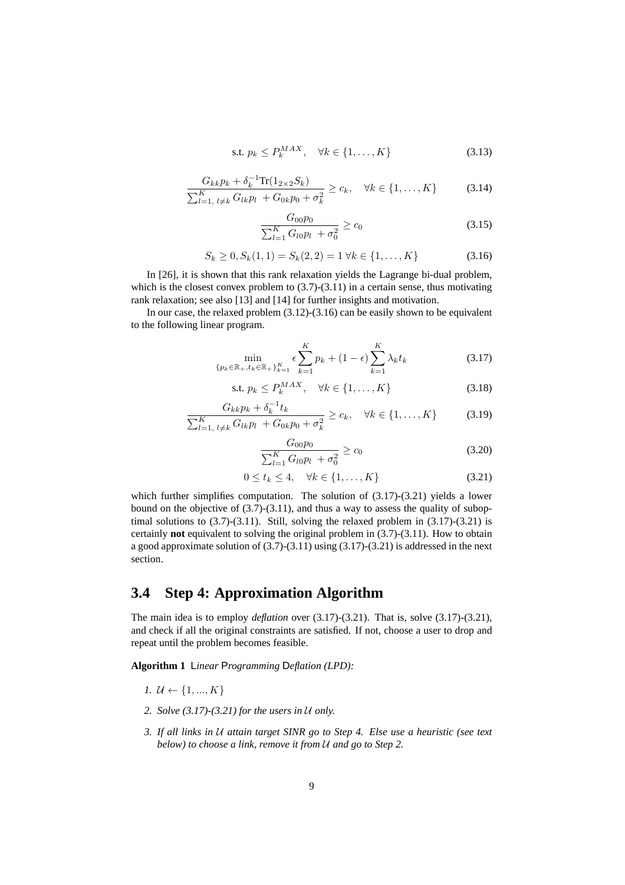$$
\text{s.t. } p_k \le P_k^{MAX}, \quad \forall k \in \{1, \dots, K\} \tag{3.13}
$$

$$
\frac{G_{kk}p_k + \delta_k^{-1} \text{Tr}(1_{2 \times 2}S_k)}{\sum_{l=1, l \neq k}^{K} G_{lk}p_l + G_{0k}p_0 + \sigma_k^2} \ge c_k, \quad \forall k \in \{1, ..., K\}
$$
\n(3.14)

$$
\frac{G_{00}p_0}{\sum_{l=1}^K G_{l0}p_l + \sigma_0^2} \ge c_0
$$
\n(3.15)

$$
S_k \ge 0, S_k(1, 1) = S_k(2, 2) = 1 \,\forall k \in \{1, \dots, K\}
$$
\n(3.16)

In [26], it is shown that this rank relaxation yields the Lagrange bi-dual problem, which is the closest convex problem to  $(3.7)-(3.11)$  in a certain sense, thus motivating rank relaxation; see also [13] and [14] for further insights and motivation.

In our case, the relaxed problem  $(3.12)-(3.16)$  can be easily shown to be equivalent to the following linear program.

$$
\min_{\{p_k \in \mathbb{R}_+, t_k \in \mathbb{R}_+\}_{k=1}^K} \epsilon \sum_{k=1}^K p_k + (1 - \epsilon) \sum_{k=1}^K \lambda_k t_k \tag{3.17}
$$

$$
\text{s.t. } p_k \le P_k^{MAX}, \quad \forall k \in \{1, \dots, K\} \tag{3.18}
$$

$$
\frac{G_{kk}p_k + \delta_k^{-1}t_k}{\sum_{l=1, l \neq k}^{K} G_{lk}p_l + G_{0k}p_0 + \sigma_k^2} \ge c_k, \quad \forall k \in \{1, ..., K\}
$$
(3.19)

$$
\frac{G_{00}p_0}{\sum_{l=1}^K G_{l0}p_l + \sigma_0^2} \ge c_0
$$
\n(3.20)

$$
0 \le t_k \le 4, \quad \forall k \in \{1, \dots, K\} \tag{3.21}
$$

which further simplifies computation. The solution of  $(3.17)-(3.21)$  yields a lower bound on the objective of (3.7)-(3.11), and thus a way to assess the quality of suboptimal solutions to  $(3.7)-(3.11)$ . Still, solving the relaxed problem in  $(3.17)-(3.21)$  is certainly **not** equivalent to solving the original problem in (3.7)-(3.11). How to obtain a good approximate solution of (3.7)-(3.11) using (3.17)-(3.21) is addressed in the next section.

#### **3.4 Step 4: Approximation Algorithm**

The main idea is to employ *deflation* over (3.17)-(3.21). That is, solve (3.17)-(3.21), and check if all the original constraints are satisfied. If not, choose a user to drop and repeat until the problem becomes feasible.

**Algorithm 1** L*inear* P*rogramming* D*eflation (LPD):*

- *1.*  $U \leftarrow \{1, ..., K\}$
- *2. Solve (3.17)-(3.21) for the users in* U *only.*
- *3. If all links in* U *attain target SINR go to Step 4. Else use a heuristic (see text below) to choose a link, remove it from* U *and go to Step 2.*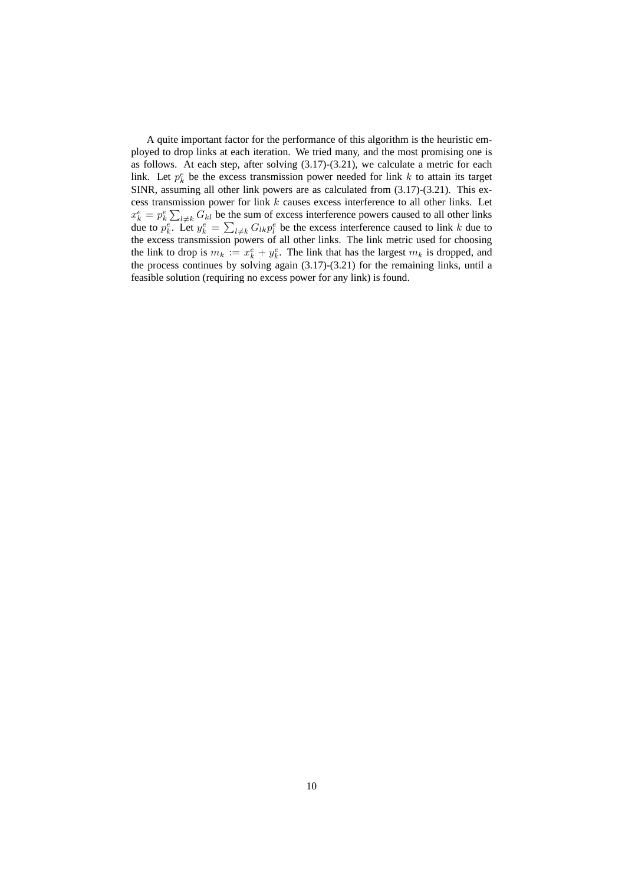A quite important factor for the performance of this algorithm is the heuristic employed to drop links at each iteration. We tried many, and the most promising one is as follows. At each step, after solving (3.17)-(3.21), we calculate a metric for each link. Let  $p_k^e$  be the excess transmission power needed for link k to attain its target SINR, assuming all other link powers are as calculated from (3.17)-(3.21). This excess transmission power for link  $k$  causes excess interference to all other links. Let  $x_k^e = p_k^e \sum_{l \neq k} G_{kl}$  be the sum of excess interference powers caused to all other links due to  $p_k^e$ . Let  $y_k^e = \sum_{l \neq k} G_{lk} p_l^e$  be the excess interference caused to link k due to the excess transmission powers of all other links. The link metric used for choosing the link to drop is  $m_k := x_k^e + y_k^e$ . The link that has the largest  $m_k$  is dropped, and the process continues by solving again (3.17)-(3.21) for the remaining links, until a feasible solution (requiring no excess power for any link) is found.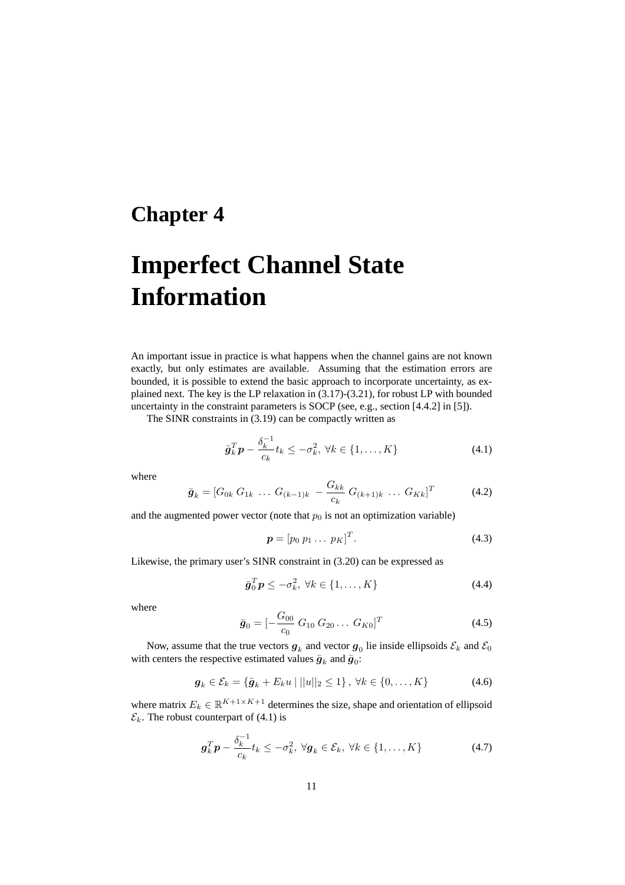# **Imperfect Channel State Information**

An important issue in practice is what happens when the channel gains are not known exactly, but only estimates are available. Assuming that the estimation errors are bounded, it is possible to extend the basic approach to incorporate uncertainty, as explained next. The key is the LP relaxation in (3.17)-(3.21), for robust LP with bounded uncertainty in the constraint parameters is SOCP (see, e.g., section [4.4.2] in [5]).

The SINR constraints in (3.19) can be compactly written as

$$
\bar{\boldsymbol{g}}_k^T \boldsymbol{p} - \frac{\delta_k^{-1}}{c_k} t_k \leq -\sigma_k^2, \ \forall k \in \{1, \dots, K\}
$$
 (4.1)

where

$$
\bar{\bm{g}}_k = [G_{0k} \ G_{1k} \ \dots \ G_{(k-1)k} \ - \frac{G_{kk}}{c_k} \ G_{(k+1)k} \ \dots \ G_{Kk}]^T \tag{4.2}
$$

and the augmented power vector (note that  $p_0$  is not an optimization variable)

$$
\boldsymbol{p} = \left[p_0 \ p_1 \dots \ p_K\right]^T. \tag{4.3}
$$

Likewise, the primary user's SINR constraint in (3.20) can be expressed as

$$
\bar{\boldsymbol{g}}_0^T \boldsymbol{p} \le -\sigma_k^2, \ \forall k \in \{1, \dots, K\} \tag{4.4}
$$

where

$$
\bar{\boldsymbol{g}}_0 = \left[ -\frac{G_{00}}{c_0} \ G_{10} \ G_{20} \dots \ G_{K0} \right]^T \tag{4.5}
$$

Now, assume that the true vectors  $g_k$  and vector  $g_0$  lie inside ellipsoids  $\mathcal{E}_k$  and  $\mathcal{E}_0$ with centers the respective estimated values  $\bar{g}_k$  and  $\bar{g}_0$ :

$$
\mathbf{g}_k \in \mathcal{E}_k = \{ \bar{\mathbf{g}}_k + E_k u \mid ||u||_2 \le 1 \}, \ \forall k \in \{0, \dots, K\}
$$
 (4.6)

where matrix  $E_k \in \mathbb{R}^{K+1 \times K+1}$  determines the size, shape and orientation of ellipsoid  $\mathcal{E}_k$ . The robust counterpart of (4.1) is

$$
\boldsymbol{g}_k^T \boldsymbol{p} - \frac{\delta_k^{-1}}{c_k} t_k \leq -\sigma_k^2, \ \forall \boldsymbol{g}_k \in \mathcal{E}_k, \ \forall k \in \{1, \dots, K\}
$$
 (4.7)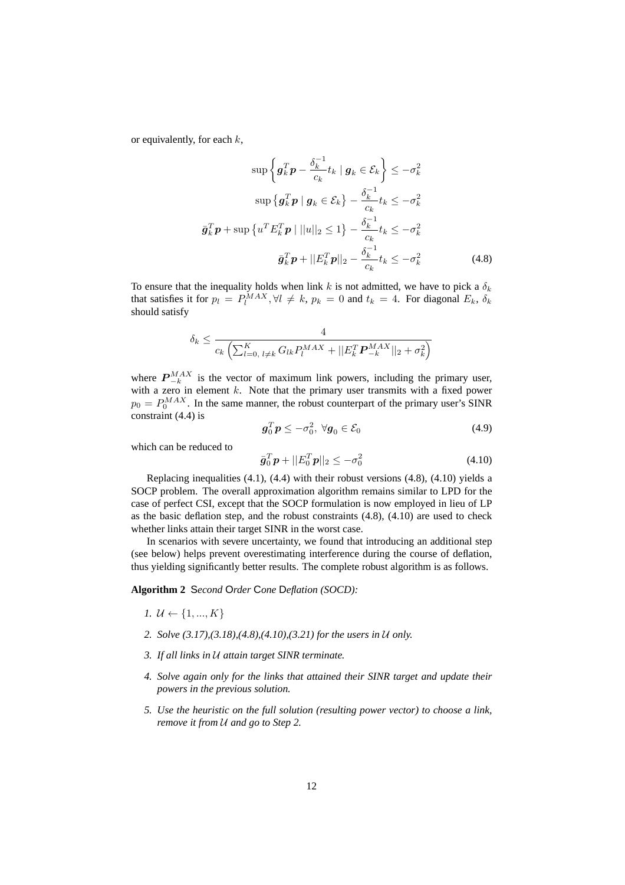or equivalently, for each  $k$ ,

$$
\sup \left\{ \boldsymbol{g}_k^T \boldsymbol{p} - \frac{\delta_k^{-1}}{c_k} t_k \mid \boldsymbol{g}_k \in \mathcal{E}_k \right\} \le -\sigma_k^2
$$

$$
\sup \left\{ \boldsymbol{g}_k^T \boldsymbol{p} \mid \boldsymbol{g}_k \in \mathcal{E}_k \right\} - \frac{\delta_k^{-1}}{c_k} t_k \le -\sigma_k^2
$$

$$
\bar{\boldsymbol{g}}_k^T \boldsymbol{p} + \sup \left\{ u^T E_k^T \boldsymbol{p} \mid ||u||_2 \le 1 \right\} - \frac{\delta_k^{-1}}{c_k} t_k \le -\sigma_k^2
$$

$$
\bar{\boldsymbol{g}}_k^T \boldsymbol{p} + ||E_k^T \boldsymbol{p}||_2 - \frac{\delta_k^{-1}}{c_k} t_k \le -\sigma_k^2 \tag{4.8}
$$

To ensure that the inequality holds when link k is not admitted, we have to pick a  $\delta_k$ that satisfies it for  $p_l = P_l^{MAX}, \forall l \neq k, p_k = 0$  and  $t_k = 4$ . For diagonal  $E_k$ ,  $\delta_k$ should satisfy

$$
\delta_k \le \frac{4}{c_k \left( \sum_{l=0, l \ne k}^{K} G_{lk} P_l^{MAX} + ||E_k^T P_{-k}^{MAX}||_2 + \sigma_k^2 \right)}
$$

where  $P_{-k}^{MAX}$  is the vector of maximum link powers, including the primary user, with a zero in element  $k$ . Note that the primary user transmits with a fixed power  $p_0 = P_0^{MAX}$ . In the same manner, the robust counterpart of the primary user's SINR constraint (4.4) is

$$
\boldsymbol{g}_0^T \boldsymbol{p} \le -\sigma_0^2, \ \forall \boldsymbol{g}_0 \in \mathcal{E}_0 \tag{4.9}
$$

which can be reduced to

$$
\bar{g}_0^T \mathbf{p} + ||E_0^T \mathbf{p}||_2 \le -\sigma_0^2 \tag{4.10}
$$

Replacing inequalities (4.1), (4.4) with their robust versions (4.8), (4.10) yields a SOCP problem. The overall approximation algorithm remains similar to LPD for the case of perfect CSI, except that the SOCP formulation is now employed in lieu of LP as the basic deflation step, and the robust constraints (4.8), (4.10) are used to check whether links attain their target SINR in the worst case.

In scenarios with severe uncertainty, we found that introducing an additional step (see below) helps prevent overestimating interference during the course of deflation, thus yielding significantly better results. The complete robust algorithm is as follows.

**Algorithm 2** S*econd* O*rder* C*one* D*eflation (SOCD):*

- *1.*  $U \leftarrow \{1, ..., K\}$
- *2. Solve (3.17),(3.18),(4.8),(4.10),(3.21) for the users in* U *only.*
- *3. If all links in* U *attain target SINR terminate.*
- *4. Solve again only for the links that attained their SINR target and update their powers in the previous solution.*
- *5. Use the heuristic on the full solution (resulting power vector) to choose a link, remove it from* U *and go to Step 2.*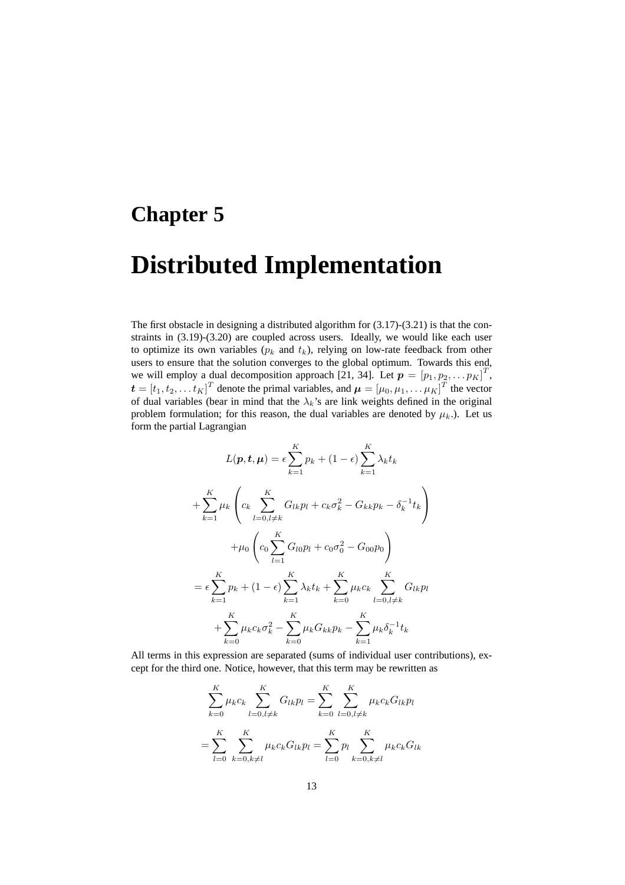# **Distributed Implementation**

The first obstacle in designing a distributed algorithm for (3.17)-(3.21) is that the constraints in (3.19)-(3.20) are coupled across users. Ideally, we would like each user to optimize its own variables ( $p_k$  and  $t_k$ ), relying on low-rate feedback from other users to ensure that the solution converges to the global optimum. Towards this end, we will employ a dual decomposition approach [21, 34]. Let  $p = [p_1, p_2, \dots p_K]^T$ ,  $\boldsymbol{t} = \left[t_1, t_2, \dots t_K\right]^T$  denote the primal variables, and  $\boldsymbol{\mu} = \left[\mu_0, \mu_1, \dots, \mu_K\right]^T$  the vector of dual variables (bear in mind that the  $\lambda_k$ 's are link weights defined in the original problem formulation; for this reason, the dual variables are denoted by  $\mu_k$ .). Let us form the partial Lagrangian

$$
L(\mathbf{p}, t, \mu) = \epsilon \sum_{k=1}^{K} p_k + (1 - \epsilon) \sum_{k=1}^{K} \lambda_k t_k
$$
  
+ 
$$
\sum_{k=1}^{K} \mu_k \left( c_k \sum_{l=0, l \neq k}^{K} G_{lk} p_l + c_k \sigma_k^2 - G_{kk} p_k - \delta_k^{-1} t_k \right)
$$
  
+ 
$$
\mu_0 \left( c_0 \sum_{l=1}^{K} G_{l0} p_l + c_0 \sigma_0^2 - G_{00} p_0 \right)
$$
  
= 
$$
\epsilon \sum_{k=1}^{K} p_k + (1 - \epsilon) \sum_{k=1}^{K} \lambda_k t_k + \sum_{k=0}^{K} \mu_k c_k \sum_{l=0, l \neq k}^{K} G_{lk} p_l
$$
  
+ 
$$
\sum_{k=0}^{K} \mu_k c_k \sigma_k^2 - \sum_{k=0}^{K} \mu_k G_{kk} p_k - \sum_{k=1}^{K} \mu_k \delta_k^{-1} t_k
$$

All terms in this expression are separated (sums of individual user contributions), except for the third one. Notice, however, that this term may be rewritten as

$$
\sum_{k=0}^{K} \mu_k c_k \sum_{l=0, l \neq k}^{K} G_{lk} p_l = \sum_{k=0}^{K} \sum_{l=0, l \neq k}^{K} \mu_k c_k G_{lk} p_l
$$

$$
= \sum_{l=0}^{K} \sum_{k=0, k \neq l}^{K} \mu_k c_k G_{lk} p_l = \sum_{l=0}^{K} p_l \sum_{k=0, k \neq l}^{K} \mu_k c_k G_{lk}
$$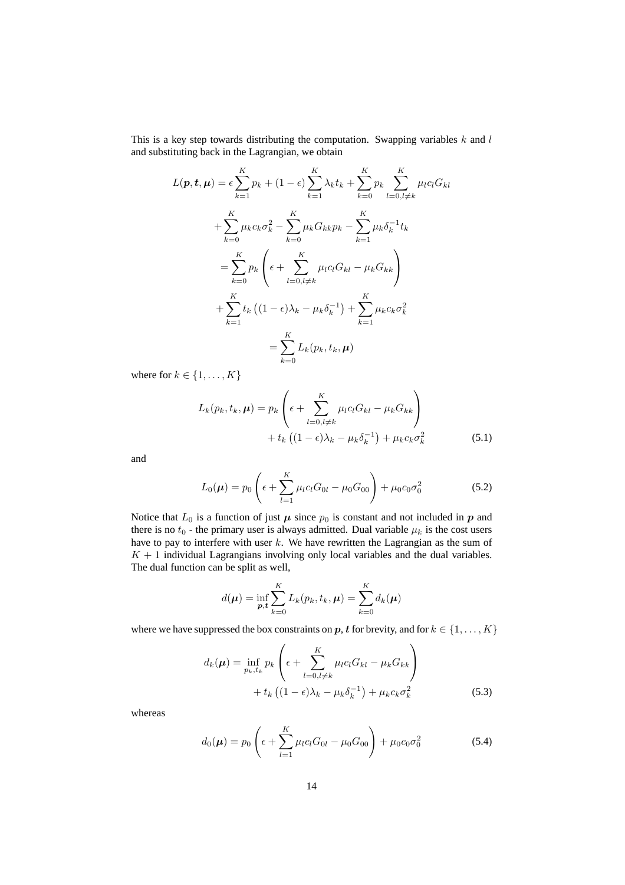This is a key step towards distributing the computation. Swapping variables  $k$  and  $l$ and substituting back in the Lagrangian, we obtain

$$
L(\mathbf{p}, t, \mu) = \epsilon \sum_{k=1}^{K} p_k + (1 - \epsilon) \sum_{k=1}^{K} \lambda_k t_k + \sum_{k=0}^{K} p_k \sum_{l=0, l \neq k}^{K} \mu_l c_l G_{kl}
$$
  
+ 
$$
\sum_{k=0}^{K} \mu_k c_k \sigma_k^2 - \sum_{k=0}^{K} \mu_k G_{kk} p_k - \sum_{k=1}^{K} \mu_k \delta_k^{-1} t_k
$$
  
= 
$$
\sum_{k=0}^{K} p_k \left( \epsilon + \sum_{l=0, l \neq k}^{K} \mu_l c_l G_{kl} - \mu_k G_{kk} \right)
$$
  
+ 
$$
\sum_{k=1}^{K} t_k \left( (1 - \epsilon) \lambda_k - \mu_k \delta_k^{-1} \right) + \sum_{k=1}^{K} \mu_k c_k \sigma_k^2
$$
  
= 
$$
\sum_{k=0}^{K} L_k (p_k, t_k, \mu)
$$

where for  $k \in \{1, \ldots, K\}$ 

$$
L_k(p_k, t_k, \mu) = p_k \left( \epsilon + \sum_{l=0, l \neq k}^{K} \mu_l c_l G_{kl} - \mu_k G_{kk} \right)
$$

$$
+ t_k \left( (1 - \epsilon) \lambda_k - \mu_k \delta_k^{-1} \right) + \mu_k c_k \sigma_k^2 \tag{5.1}
$$

and

$$
L_0(\mu) = p_0 \left( \epsilon + \sum_{l=1}^K \mu_l c_l G_{0l} - \mu_0 G_{00} \right) + \mu_0 c_0 \sigma_0^2 \tag{5.2}
$$

Notice that  $L_0$  is a function of just  $\mu$  since  $p_0$  is constant and not included in  $p$  and there is no  $t_0$  - the primary user is always admitted. Dual variable  $\mu_k$  is the cost users have to pay to interfere with user  $k$ . We have rewritten the Lagrangian as the sum of  $K + 1$  individual Lagrangians involving only local variables and the dual variables. The dual function can be split as well,

$$
d(\boldsymbol{\mu}) = \inf_{\boldsymbol{p}, \boldsymbol{t}} \sum_{k=0}^{K} L_k(p_k, t_k, \boldsymbol{\mu}) = \sum_{k=0}^{K} d_k(\boldsymbol{\mu})
$$

where we have suppressed the box constraints on  $p$ ,  $t$  for brevity, and for  $k \in \{1, \ldots, K\}$ 

$$
d_k(\boldsymbol{\mu}) = \inf_{p_k, t_k} p_k \left( \epsilon + \sum_{l=0, l \neq k}^K \mu_l c_l G_{kl} - \mu_k G_{kk} \right) + t_k \left( (1 - \epsilon) \lambda_k - \mu_k \delta_k^{-1} \right) + \mu_k c_k \sigma_k^2 \tag{5.3}
$$

whereas

$$
d_0(\boldsymbol{\mu}) = p_0 \left( \epsilon + \sum_{l=1}^{K} \mu_l c_l G_{0l} - \mu_0 G_{00} \right) + \mu_0 c_0 \sigma_0^2 \tag{5.4}
$$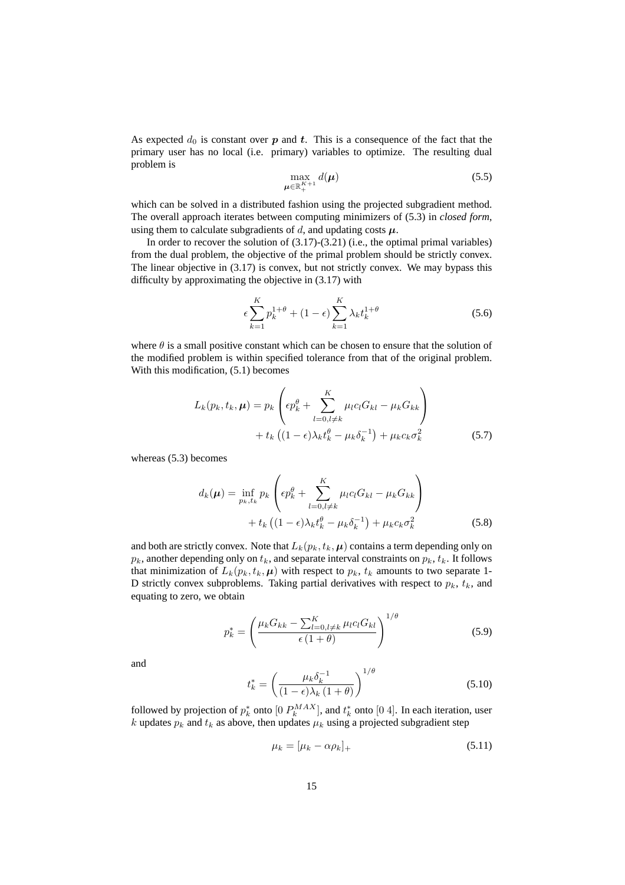As expected  $d_0$  is constant over  $p$  and  $t$ . This is a consequence of the fact that the primary user has no local (i.e. primary) variables to optimize. The resulting dual problem is

$$
\max_{\boldsymbol{\mu} \in \mathbb{R}_+^{K+1}} d(\boldsymbol{\mu}) \tag{5.5}
$$

which can be solved in a distributed fashion using the projected subgradient method. The overall approach iterates between computing minimizers of (5.3) in *closed form*, using them to calculate subgradients of d, and updating costs  $\mu$ .

In order to recover the solution of  $(3.17)-(3.21)$  (i.e., the optimal primal variables) from the dual problem, the objective of the primal problem should be strictly convex. The linear objective in (3.17) is convex, but not strictly convex. We may bypass this difficulty by approximating the objective in (3.17) with

$$
\epsilon \sum_{k=1}^{K} p_k^{1+\theta} + (1-\epsilon) \sum_{k=1}^{K} \lambda_k t_k^{1+\theta} \tag{5.6}
$$

where  $\theta$  is a small positive constant which can be chosen to ensure that the solution of the modified problem is within specified tolerance from that of the original problem. With this modification, (5.1) becomes

$$
L_k(p_k, t_k, \mu) = p_k \left( \epsilon p_k^{\theta} + \sum_{l=0, l \neq k}^{K} \mu_l c_l G_{kl} - \mu_k G_{kk} \right)
$$

$$
+ t_k \left( (1 - \epsilon) \lambda_k t_k^{\theta} - \mu_k \delta_k^{-1} \right) + \mu_k c_k \sigma_k^2 \tag{5.7}
$$

whereas (5.3) becomes

$$
d_k(\boldsymbol{\mu}) = \inf_{p_k, t_k} p_k \left( \epsilon p_k^{\theta} + \sum_{l=0, l \neq k}^K \mu_l c_l G_{kl} - \mu_k G_{kk} \right) + t_k \left( (1 - \epsilon) \lambda_k t_k^{\theta} - \mu_k \delta_k^{-1} \right) + \mu_k c_k \sigma_k^2
$$
 (5.8)

and both are strictly convex. Note that  $L_k(p_k, t_k, \mu)$  contains a term depending only on  $p_k$ , another depending only on  $t_k$ , and separate interval constraints on  $p_k$ ,  $t_k$ . It follows that minimization of  $L_k(p_k, t_k, \mu)$  with respect to  $p_k, t_k$  amounts to two separate 1-D strictly convex subproblems. Taking partial derivatives with respect to  $p_k$ ,  $t_k$ , and equating to zero, we obtain

$$
p_k^* = \left(\frac{\mu_k G_{kk} - \sum_{l=0, l \neq k}^K \mu_l c_l G_{kl}}{\epsilon (1+\theta)}\right)^{1/\theta} \tag{5.9}
$$

and

$$
t_k^* = \left(\frac{\mu_k \delta_k^{-1}}{(1 - \epsilon)\lambda_k (1 + \theta)}\right)^{1/\theta} \tag{5.10}
$$

followed by projection of  $p_k^*$  onto  $[0 \, P_k^{MAX}]$ , and  $t_k^*$  onto  $[0 \, 4]$ . In each iteration, user k updates  $p_k$  and  $t_k$  as above, then updates  $\mu_k$  using a projected subgradient step

$$
\mu_k = [\mu_k - \alpha \rho_k]_+\tag{5.11}
$$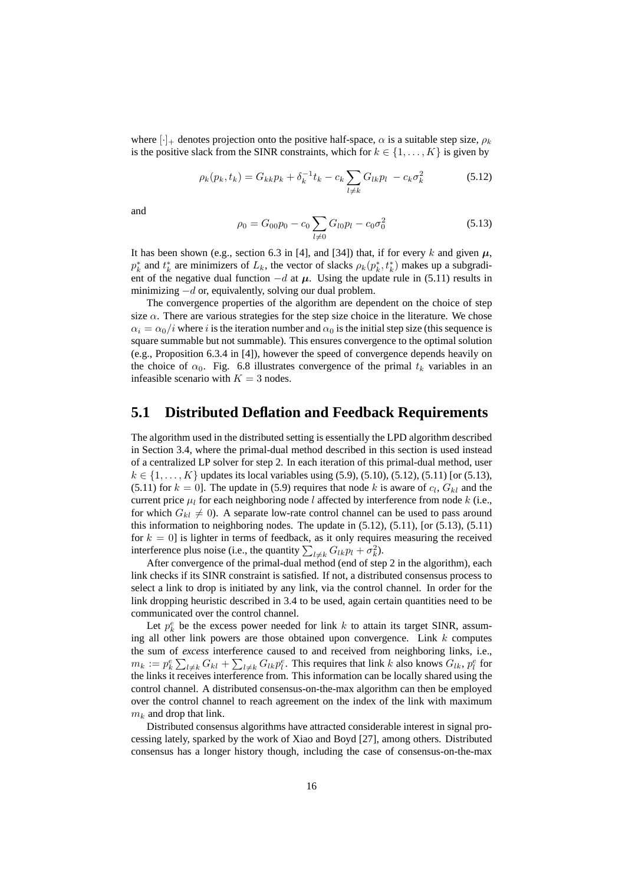where  $[\cdot]_+$  denotes projection onto the positive half-space,  $\alpha$  is a suitable step size,  $\rho_k$ is the positive slack from the SINR constraints, which for  $k \in \{1, \ldots, K\}$  is given by

$$
\rho_k(p_k, t_k) = G_{kk} p_k + \delta_k^{-1} t_k - c_k \sum_{l \neq k} G_{lk} p_l - c_k \sigma_k^2 \tag{5.12}
$$

and

$$
\rho_0 = G_{00} p_0 - c_0 \sum_{l \neq 0} G_{l0} p_l - c_0 \sigma_0^2 \tag{5.13}
$$

It has been shown (e.g., section 6.3 in [4], and [34]) that, if for every k and given  $\mu$ ,  $p_k^*$  and  $t_k^*$  are minimizers of  $L_k$ , the vector of slacks  $\rho_k(p_k^*, t_k^*)$  makes up a subgradient of the negative dual function  $-d$  at  $\mu$ . Using the update rule in (5.11) results in minimizing  $-d$  or, equivalently, solving our dual problem.

The convergence properties of the algorithm are dependent on the choice of step size  $\alpha$ . There are various strategies for the step size choice in the literature. We chose  $\alpha_i = \alpha_0/i$  where i is the iteration number and  $\alpha_0$  is the initial step size (this sequence is square summable but not summable). This ensures convergence to the optimal solution (e.g., Proposition 6.3.4 in [4]), however the speed of convergence depends heavily on the choice of  $\alpha_0$ . Fig. 6.8 illustrates convergence of the primal  $t_k$  variables in an infeasible scenario with  $K = 3$  nodes.

#### **5.1 Distributed Deflation and Feedback Requirements**

The algorithm used in the distributed setting is essentially the LPD algorithm described in Section 3.4, where the primal-dual method described in this section is used instead of a centralized LP solver for step 2. In each iteration of this primal-dual method, user  $k \in \{1, \ldots, K\}$  updates its local variables using (5.9), (5.10), (5.12), (5.11) [or (5.13), (5.11) for  $k = 0$ . The update in (5.9) requires that node k is aware of  $c_l$ ,  $G_{kl}$  and the current price  $\mu_l$  for each neighboring node l affected by interference from node k (i.e., for which  $G_{kl} \neq 0$ ). A separate low-rate control channel can be used to pass around this information to neighboring nodes. The update in  $(5.12)$ ,  $(5.11)$ ,  $[or (5.13)$ ,  $(5.11)$ for  $k = 0$ ] is lighter in terms of feedback, as it only requires measuring the received interference plus noise (i.e., the quantity  $\sum_{l \neq k} G_{lk} p_l + \sigma_k^2$ ).

After convergence of the primal-dual method (end of step 2 in the algorithm), each link checks if its SINR constraint is satisfied. If not, a distributed consensus process to select a link to drop is initiated by any link, via the control channel. In order for the link dropping heuristic described in 3.4 to be used, again certain quantities need to be communicated over the control channel.

Let  $p_k^e$  be the excess power needed for link k to attain its target SINR, assuming all other link powers are those obtained upon convergence. Link  $k$  computes the sum of *excess* interference caused to and received from neighboring links, i.e.,  $m_k := p_k^e \sum_{l \neq k} G_{kl} + \sum_{l \neq k} G_{lk} p_l^e$ . This requires that link k also knows  $G_{lk}, p_l^e$  for the links it receives interference from. This information can be locally shared using the control channel. A distributed consensus-on-the-max algorithm can then be employed over the control channel to reach agreement on the index of the link with maximum  $m_k$  and drop that link.

Distributed consensus algorithms have attracted considerable interest in signal processing lately, sparked by the work of Xiao and Boyd [27], among others. Distributed consensus has a longer history though, including the case of consensus-on-the-max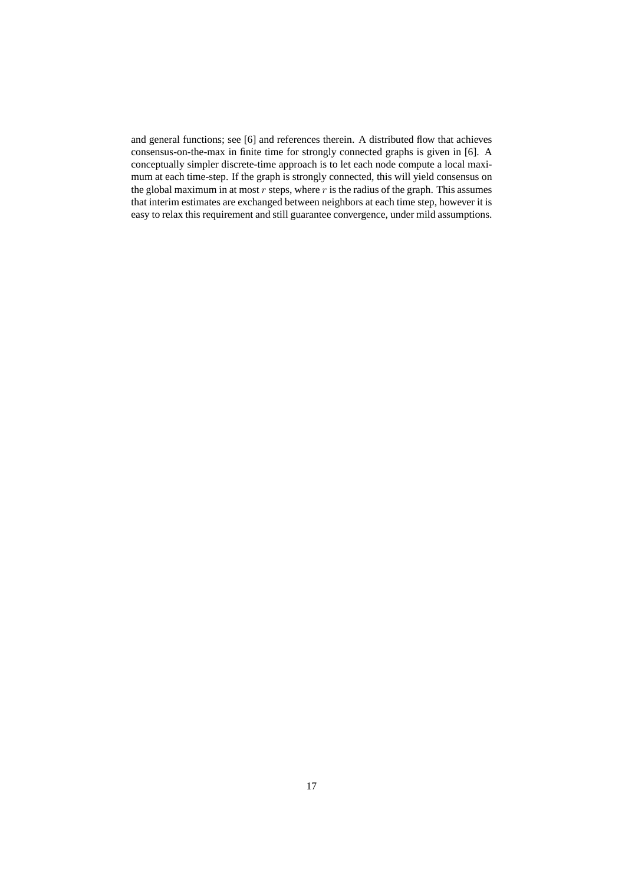and general functions; see [6] and references therein. A distributed flow that achieves consensus-on-the-max in finite time for strongly connected graphs is given in [6]. A conceptually simpler discrete-time approach is to let each node compute a local maximum at each time-step. If the graph is strongly connected, this will yield consensus on the global maximum in at most  $r$  steps, where  $r$  is the radius of the graph. This assumes that interim estimates are exchanged between neighbors at each time step, however it is easy to relax this requirement and still guarantee convergence, under mild assumptions.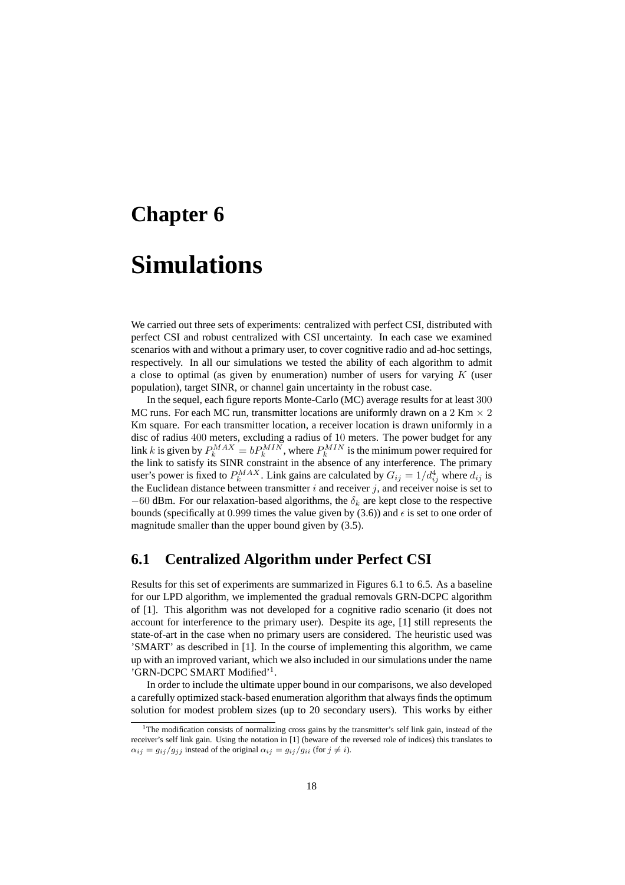## **Simulations**

We carried out three sets of experiments: centralized with perfect CSI, distributed with perfect CSI and robust centralized with CSI uncertainty. In each case we examined scenarios with and without a primary user, to cover cognitive radio and ad-hoc settings, respectively. In all our simulations we tested the ability of each algorithm to admit a close to optimal (as given by enumeration) number of users for varying  $K$  (user population), target SINR, or channel gain uncertainty in the robust case.

In the sequel, each figure reports Monte-Carlo (MC) average results for at least 300 MC runs. For each MC run, transmitter locations are uniformly drawn on a 2 Km  $\times$  2 Km square. For each transmitter location, a receiver location is drawn uniformly in a disc of radius 400 meters, excluding a radius of 10 meters. The power budget for any link k is given by  $P_k^{MAX} = bP_k^{MIN}$ , where  $P_k^{MIN}$  is the minimum power required for the link to satisfy its SINR constraint in the absence of any interference. The primary user's power is fixed to  $P_k^{MAX}$ . Link gains are calculated by  $G_{ij} = 1/d_{ij}^4$  where  $d_{ij}$  is the Euclidean distance between transmitter  $i$  and receiver  $j$ , and receiver noise is set to  $-60$  dBm. For our relaxation-based algorithms, the  $\delta_k$  are kept close to the respective bounds (specifically at 0.999 times the value given by (3.6)) and  $\epsilon$  is set to one order of magnitude smaller than the upper bound given by (3.5).

#### **6.1 Centralized Algorithm under Perfect CSI**

Results for this set of experiments are summarized in Figures 6.1 to 6.5. As a baseline for our LPD algorithm, we implemented the gradual removals GRN-DCPC algorithm of [1]. This algorithm was not developed for a cognitive radio scenario (it does not account for interference to the primary user). Despite its age, [1] still represents the state-of-art in the case when no primary users are considered. The heuristic used was 'SMART' as described in [1]. In the course of implementing this algorithm, we came up with an improved variant, which we also included in our simulations under the name 'GRN-DCPC SMART Modified'<sup>1</sup>.

In order to include the ultimate upper bound in our comparisons, we also developed a carefully optimized stack-based enumeration algorithm that always finds the optimum solution for modest problem sizes (up to 20 secondary users). This works by either

<sup>&</sup>lt;sup>1</sup>The modification consists of normalizing cross gains by the transmitter's self link gain, instead of the receiver's self link gain. Using the notation in [1] (beware of the reversed role of indices) this translates to  $\alpha_{ij} = g_{ij}/g_{jj}$  instead of the original  $\alpha_{ij} = g_{ij}/g_{ii}$  (for  $j \neq i$ ).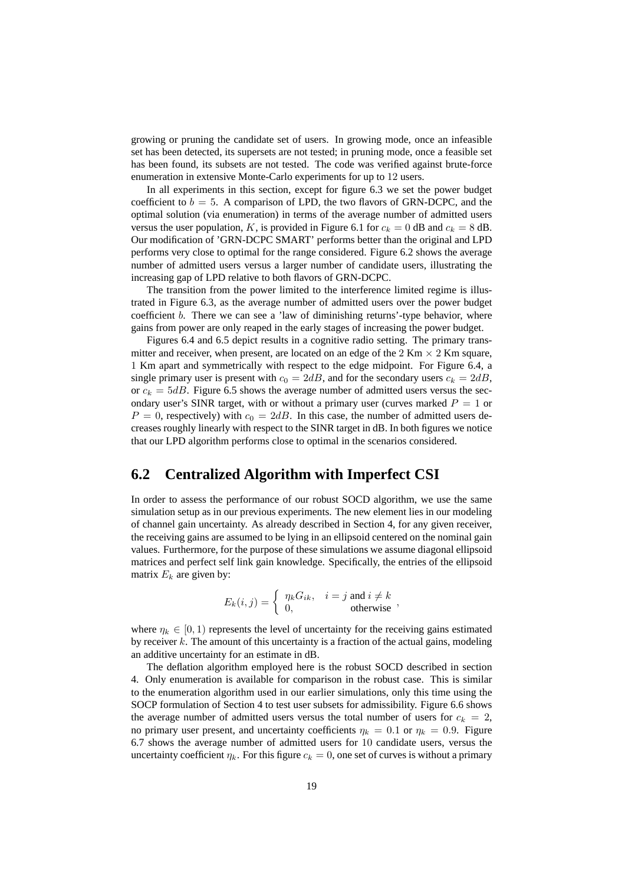growing or pruning the candidate set of users. In growing mode, once an infeasible set has been detected, its supersets are not tested; in pruning mode, once a feasible set has been found, its subsets are not tested. The code was verified against brute-force enumeration in extensive Monte-Carlo experiments for up to 12 users.

In all experiments in this section, except for figure 6.3 we set the power budget coefficient to  $b = 5$ . A comparison of LPD, the two flavors of GRN-DCPC, and the optimal solution (via enumeration) in terms of the average number of admitted users versus the user population, K, is provided in Figure 6.1 for  $c_k = 0$  dB and  $c_k = 8$  dB. Our modification of 'GRN-DCPC SMART' performs better than the original and LPD performs very close to optimal for the range considered. Figure 6.2 shows the average number of admitted users versus a larger number of candidate users, illustrating the increasing gap of LPD relative to both flavors of GRN-DCPC.

The transition from the power limited to the interference limited regime is illustrated in Figure 6.3, as the average number of admitted users over the power budget coefficient b. There we can see a 'law of diminishing returns'-type behavior, where gains from power are only reaped in the early stages of increasing the power budget.

Figures 6.4 and 6.5 depict results in a cognitive radio setting. The primary transmitter and receiver, when present, are located on an edge of the  $2 \text{ Km} \times 2 \text{ Km}$  square, 1 Km apart and symmetrically with respect to the edge midpoint. For Figure 6.4, a single primary user is present with  $c_0 = 2dB$ , and for the secondary users  $c_k = 2dB$ , or  $c_k = 5dB$ . Figure 6.5 shows the average number of admitted users versus the secondary user's SINR target, with or without a primary user (curves marked  $P = 1$  or  $P = 0$ , respectively) with  $c_0 = 2dB$ . In this case, the number of admitted users decreases roughly linearly with respect to the SINR target in dB. In both figures we notice that our LPD algorithm performs close to optimal in the scenarios considered.

#### **6.2 Centralized Algorithm with Imperfect CSI**

In order to assess the performance of our robust SOCD algorithm, we use the same simulation setup as in our previous experiments. The new element lies in our modeling of channel gain uncertainty. As already described in Section 4, for any given receiver, the receiving gains are assumed to be lying in an ellipsoid centered on the nominal gain values. Furthermore, for the purpose of these simulations we assume diagonal ellipsoid matrices and perfect self link gain knowledge. Specifically, the entries of the ellipsoid matrix  $E_k$  are given by:

$$
E_k(i,j) = \begin{cases} \eta_k G_{ik}, & i = j \text{ and } i \neq k \\ 0, & \text{otherwise} \end{cases}
$$

where  $\eta_k \in [0, 1)$  represents the level of uncertainty for the receiving gains estimated by receiver k. The amount of this uncertainty is a fraction of the actual gains, modeling an additive uncertainty for an estimate in dB.

The deflation algorithm employed here is the robust SOCD described in section 4. Only enumeration is available for comparison in the robust case. This is similar to the enumeration algorithm used in our earlier simulations, only this time using the SOCP formulation of Section 4 to test user subsets for admissibility. Figure 6.6 shows the average number of admitted users versus the total number of users for  $c_k = 2$ , no primary user present, and uncertainty coefficients  $\eta_k = 0.1$  or  $\eta_k = 0.9$ . Figure 6.7 shows the average number of admitted users for 10 candidate users, versus the uncertainty coefficient  $\eta_k$ . For this figure  $c_k = 0$ , one set of curves is without a primary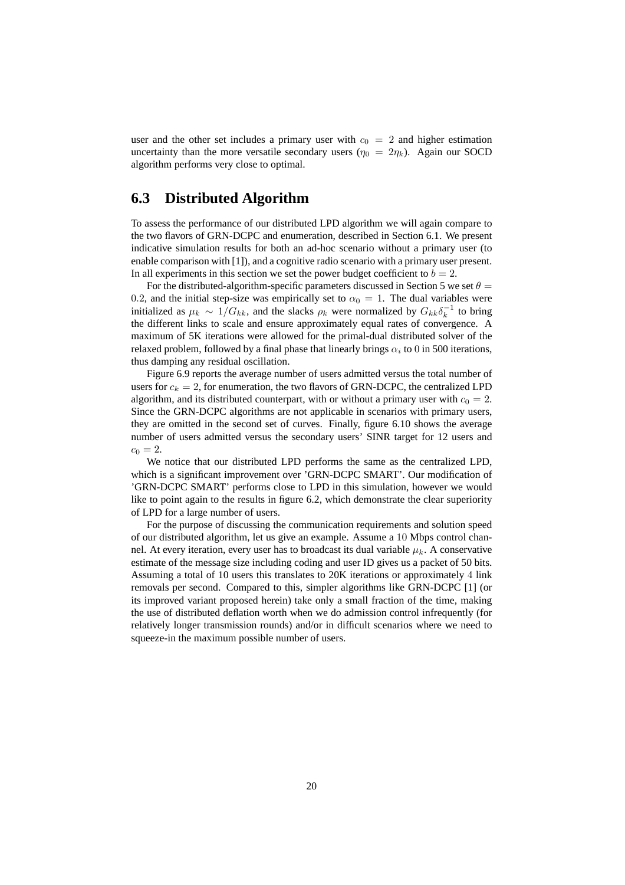user and the other set includes a primary user with  $c_0 = 2$  and higher estimation uncertainty than the more versatile secondary users ( $\eta_0 = 2\eta_k$ ). Again our SOCD algorithm performs very close to optimal.

### **6.3 Distributed Algorithm**

To assess the performance of our distributed LPD algorithm we will again compare to the two flavors of GRN-DCPC and enumeration, described in Section 6.1. We present indicative simulation results for both an ad-hoc scenario without a primary user (to enable comparison with [1]), and a cognitive radio scenario with a primary user present. In all experiments in this section we set the power budget coefficient to  $b = 2$ .

For the distributed-algorithm-specific parameters discussed in Section 5 we set  $\theta =$ 0.2, and the initial step-size was empirically set to  $\alpha_0 = 1$ . The dual variables were initialized as  $\mu_k \sim 1/G_{kk}$ , and the slacks  $\rho_k$  were normalized by  $G_{kk} \delta_k^{-1}$  to bring the different links to scale and ensure approximately equal rates of convergence. A maximum of 5K iterations were allowed for the primal-dual distributed solver of the relaxed problem, followed by a final phase that linearly brings  $\alpha_i$  to 0 in 500 iterations, thus damping any residual oscillation.

Figure 6.9 reports the average number of users admitted versus the total number of users for  $c_k = 2$ , for enumeration, the two flavors of GRN-DCPC, the centralized LPD algorithm, and its distributed counterpart, with or without a primary user with  $c_0 = 2$ . Since the GRN-DCPC algorithms are not applicable in scenarios with primary users, they are omitted in the second set of curves. Finally, figure 6.10 shows the average number of users admitted versus the secondary users' SINR target for 12 users and  $c_0 = 2.$ 

We notice that our distributed LPD performs the same as the centralized LPD, which is a significant improvement over 'GRN-DCPC SMART'. Our modification of 'GRN-DCPC SMART' performs close to LPD in this simulation, however we would like to point again to the results in figure 6.2, which demonstrate the clear superiority of LPD for a large number of users.

For the purpose of discussing the communication requirements and solution speed of our distributed algorithm, let us give an example. Assume a 10 Mbps control channel. At every iteration, every user has to broadcast its dual variable  $\mu_k$ . A conservative estimate of the message size including coding and user ID gives us a packet of 50 bits. Assuming a total of 10 users this translates to 20K iterations or approximately 4 link removals per second. Compared to this, simpler algorithms like GRN-DCPC [1] (or its improved variant proposed herein) take only a small fraction of the time, making the use of distributed deflation worth when we do admission control infrequently (for relatively longer transmission rounds) and/or in difficult scenarios where we need to squeeze-in the maximum possible number of users.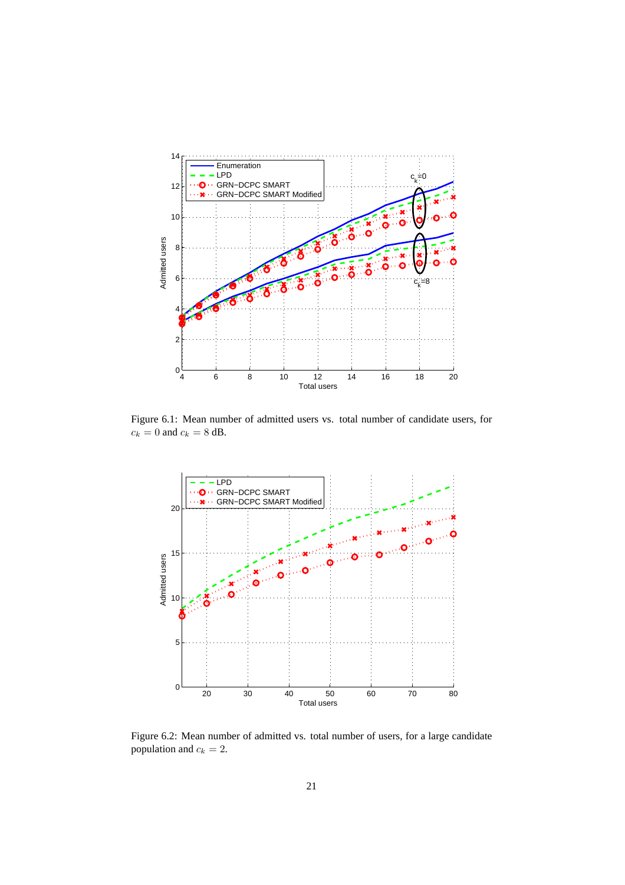

Figure 6.1: Mean number of admitted users vs. total number of candidate users, for  $c_k = 0$  and  $c_k = 8$  dB.



Figure 6.2: Mean number of admitted vs. total number of users, for a large candidate population and  $c_k = 2$ .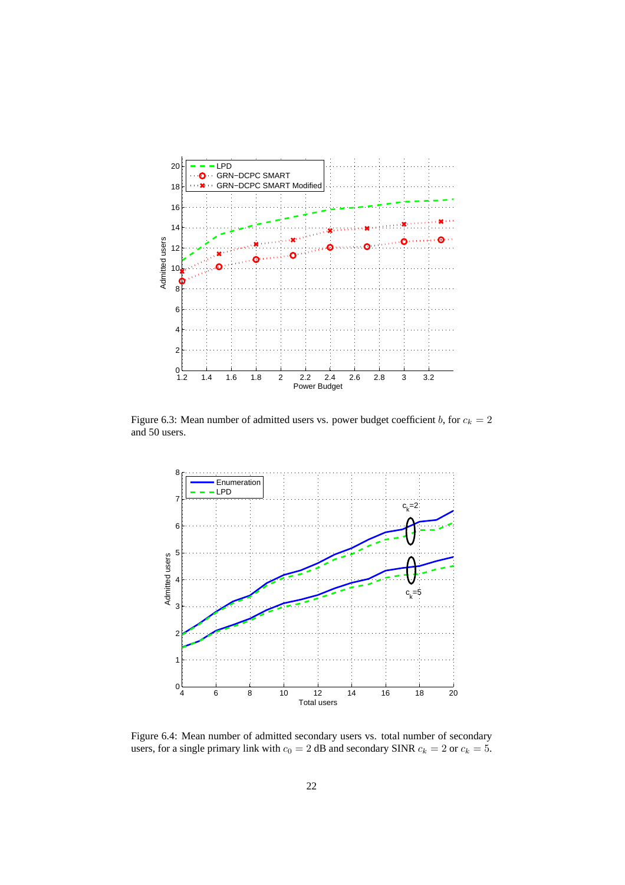

Figure 6.3: Mean number of admitted users vs. power budget coefficient b, for  $c_k = 2$ and 50 users.



Figure 6.4: Mean number of admitted secondary users vs. total number of secondary users, for a single primary link with  $c_0 = 2$  dB and secondary SINR  $c_k = 2$  or  $c_k = 5$ .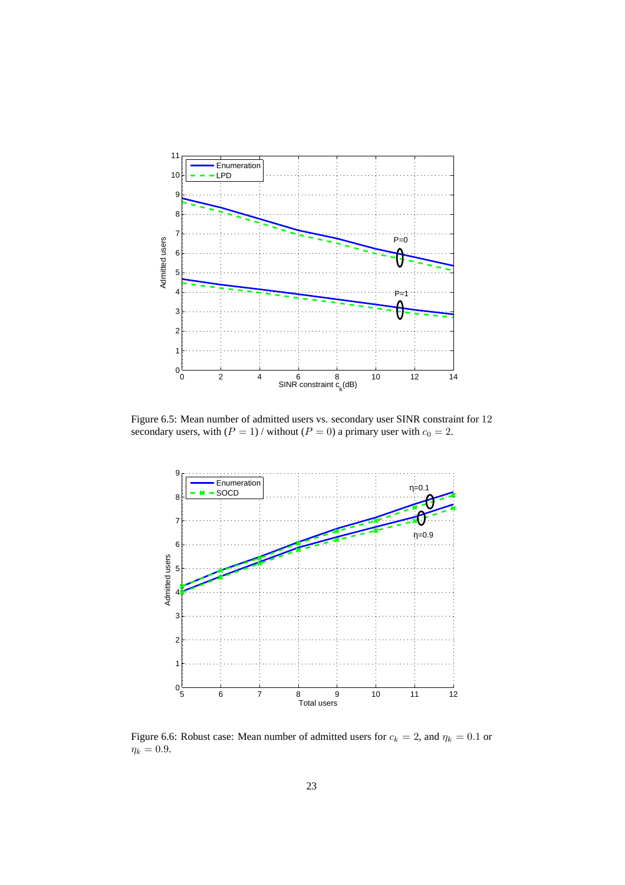

Figure 6.5: Mean number of admitted users vs. secondary user SINR constraint for 12 secondary users, with  $(P = 1)$  / without  $(P = 0)$  a primary user with  $c_0 = 2$ .



Figure 6.6: Robust case: Mean number of admitted users for  $c_k = 2$ , and  $\eta_k = 0.1$  or  $\eta_k = 0.9$ .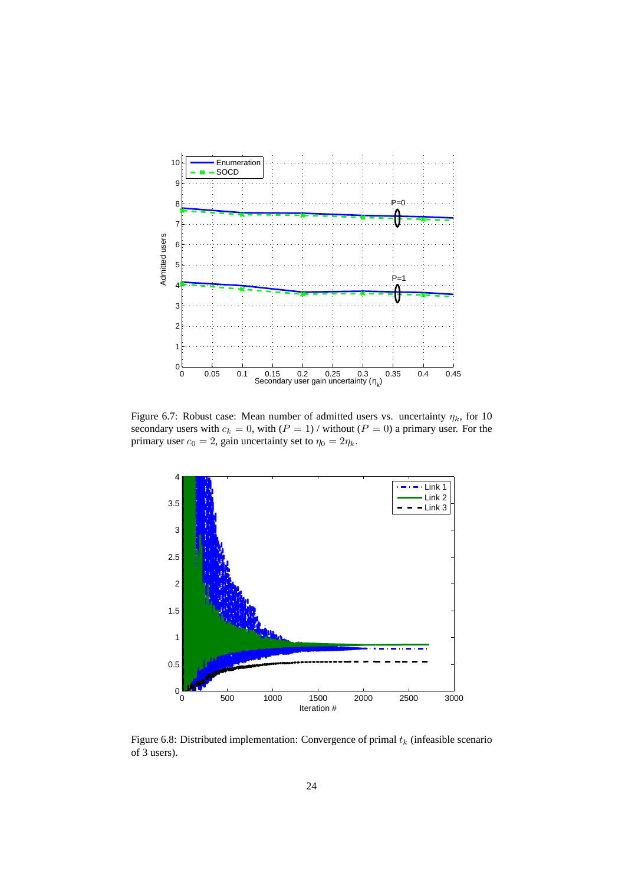

Figure 6.7: Robust case: Mean number of admitted users vs. uncertainty  $\eta_k$ , for 10 secondary users with  $c_k = 0$ , with  $(P = 1)$  / without  $(P = 0)$  a primary user. For the primary user  $c_0 = 2$ , gain uncertainty set to  $\eta_0 = 2\eta_k$ .



Figure 6.8: Distributed implementation: Convergence of primal  $t_k$  (infeasible scenario of 3 users).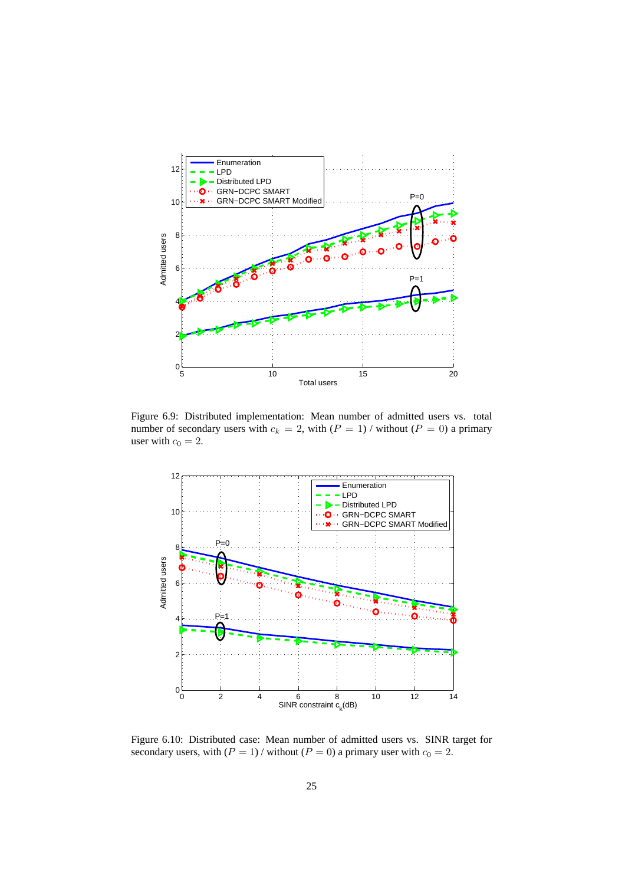

Figure 6.9: Distributed implementation: Mean number of admitted users vs. total number of secondary users with  $c_k = 2$ , with  $(P = 1)$  / without  $(P = 0)$  a primary user with  $c_0 = 2$ .



Figure 6.10: Distributed case: Mean number of admitted users vs. SINR target for secondary users, with  $(P = 1)$  / without  $(P = 0)$  a primary user with  $c_0 = 2$ .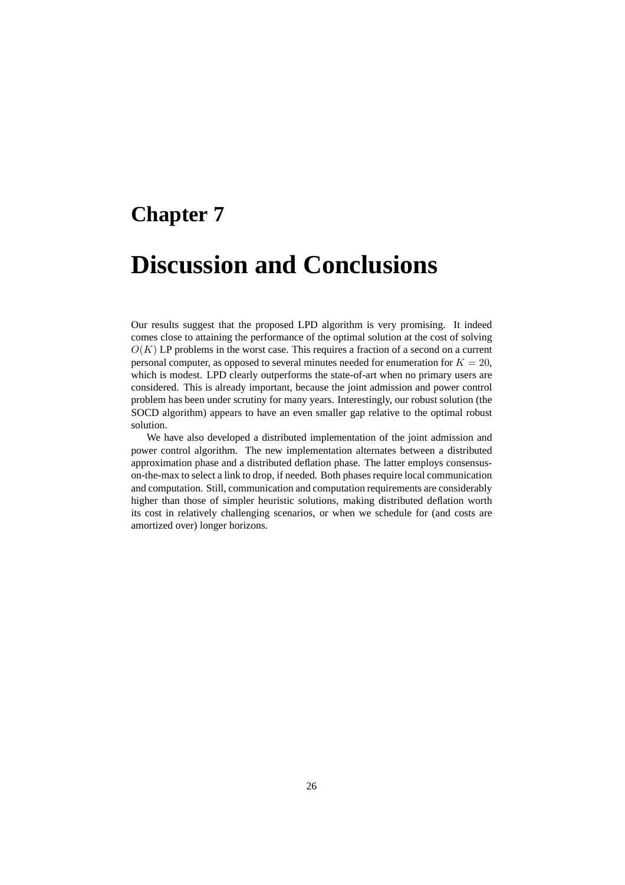# **Discussion and Conclusions**

Our results suggest that the proposed LPD algorithm is very promising. It indeed comes close to attaining the performance of the optimal solution at the cost of solving  $O(K)$  LP problems in the worst case. This requires a fraction of a second on a current personal computer, as opposed to several minutes needed for enumeration for  $K = 20$ , which is modest. LPD clearly outperforms the state-of-art when no primary users are considered. This is already important, because the joint admission and power control problem has been under scrutiny for many years. Interestingly, our robust solution (the SOCD algorithm) appears to have an even smaller gap relative to the optimal robust solution.

We have also developed a distributed implementation of the joint admission and power control algorithm. The new implementation alternates between a distributed approximation phase and a distributed deflation phase. The latter employs consensuson-the-max to select a link to drop, if needed. Both phases require local communication and computation. Still, communication and computation requirements are considerably higher than those of simpler heuristic solutions, making distributed deflation worth its cost in relatively challenging scenarios, or when we schedule for (and costs are amortized over) longer horizons.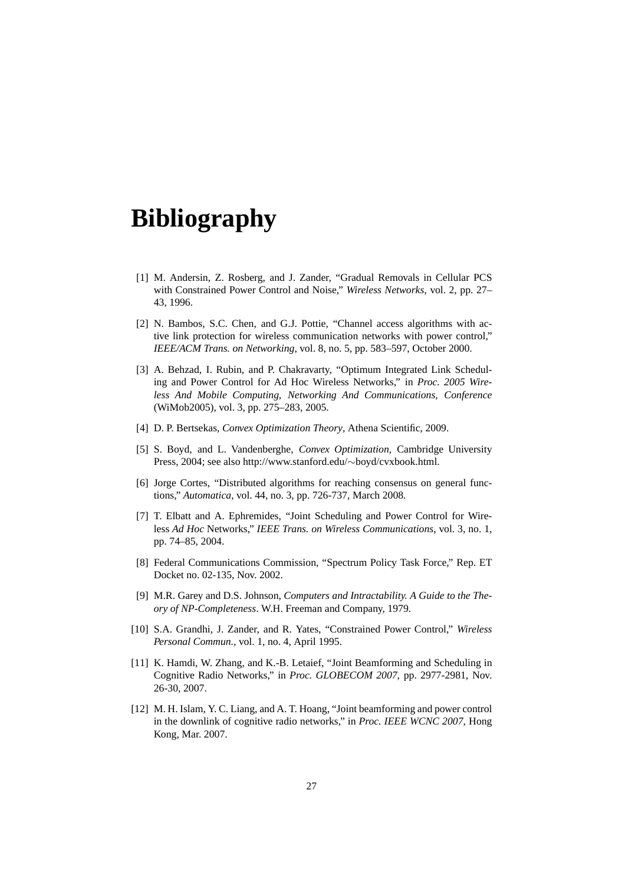## **Bibliography**

- [1] M. Andersin, Z. Rosberg, and J. Zander, "Gradual Removals in Cellular PCS with Constrained Power Control and Noise," *Wireless Networks*, vol. 2, pp. 27– 43, 1996.
- [2] N. Bambos, S.C. Chen, and G.J. Pottie, "Channel access algorithms with active link protection for wireless communication networks with power control," *IEEE/ACM Trans. on Networking*, vol. 8, no. 5, pp. 583–597, October 2000.
- [3] A. Behzad, I. Rubin, and P. Chakravarty, "Optimum Integrated Link Scheduling and Power Control for Ad Hoc Wireless Networks," in *Proc. 2005 Wireless And Mobile Computing, Networking And Communications, Conference* (WiMob2005), vol. 3, pp. 275–283, 2005.
- [4] D. P. Bertsekas, *Convex Optimization Theory*, Athena Scientific, 2009.
- [5] S. Boyd, and L. Vandenberghe, *Convex Optimization*, Cambridge University Press, 2004; see also http://www.stanford.edu/∼boyd/cvxbook.html.
- [6] Jorge Cortes, "Distributed algorithms for reaching consensus on general functions," *Automatica*, vol. 44, no. 3, pp. 726-737, March 2008.
- [7] T. Elbatt and A. Ephremides, "Joint Scheduling and Power Control for Wireless *Ad Hoc* Networks," *IEEE Trans. on Wireless Communications*, vol. 3, no. 1, pp. 74–85, 2004.
- [8] Federal Communications Commission, "Spectrum Policy Task Force," Rep. ET Docket no. 02-135, Nov. 2002.
- [9] M.R. Garey and D.S. Johnson, *Computers and Intractability. A Guide to the Theory of NP-Completeness*. W.H. Freeman and Company, 1979.
- [10] S.A. Grandhi, J. Zander, and R. Yates, "Constrained Power Control," *Wireless Personal Commun.,* vol. 1, no. 4, April 1995.
- [11] K. Hamdi, W. Zhang, and K.-B. Letaief, "Joint Beamforming and Scheduling in Cognitive Radio Networks," in *Proc. GLOBECOM 2007*, pp. 2977-2981, Nov. 26-30, 2007.
- [12] M. H. Islam, Y. C. Liang, and A. T. Hoang, "Joint beamforming and power control in the downlink of cognitive radio networks," in *Proc. IEEE WCNC 2007*, Hong Kong, Mar. 2007.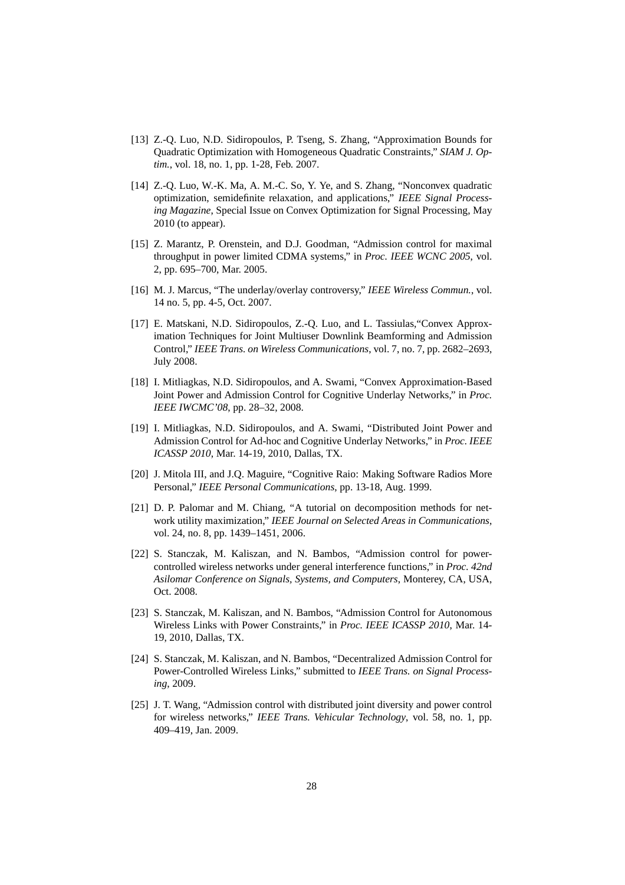- [13] Z.-Q. Luo, N.D. Sidiropoulos, P. Tseng, S. Zhang, "Approximation Bounds for Quadratic Optimization with Homogeneous Quadratic Constraints," *SIAM J. Optim.*, vol. 18, no. 1, pp. 1-28, Feb. 2007.
- [14] Z.-Q. Luo, W.-K. Ma, A. M.-C. So, Y. Ye, and S. Zhang, "Nonconvex quadratic optimization, semidefinite relaxation, and applications," *IEEE Signal Processing Magazine*, Special Issue on Convex Optimization for Signal Processing, May 2010 (to appear).
- [15] Z. Marantz, P. Orenstein, and D.J. Goodman, "Admission control for maximal throughput in power limited CDMA systems," in *Proc. IEEE WCNC 2005*, vol. 2, pp. 695–700, Mar. 2005.
- [16] M. J. Marcus, "The underlay/overlay controversy," *IEEE Wireless Commun.*, vol. 14 no. 5, pp. 4-5, Oct. 2007.
- [17] E. Matskani, N.D. Sidiropoulos, Z.-Q. Luo, and L. Tassiulas,"Convex Approximation Techniques for Joint Multiuser Downlink Beamforming and Admission Control," *IEEE Trans. on Wireless Communications*, vol. 7, no. 7, pp. 2682–2693, July 2008.
- [18] I. Mitliagkas, N.D. Sidiropoulos, and A. Swami, "Convex Approximation-Based Joint Power and Admission Control for Cognitive Underlay Networks," in *Proc. IEEE IWCMC'08*, pp. 28–32, 2008.
- [19] I. Mitliagkas, N.D. Sidiropoulos, and A. Swami, "Distributed Joint Power and Admission Control for Ad-hoc and Cognitive Underlay Networks," in *Proc. IEEE ICASSP 2010*, Mar. 14-19, 2010, Dallas, TX.
- [20] J. Mitola III, and J.Q. Maguire, "Cognitive Raio: Making Software Radios More Personal," *IEEE Personal Communications*, pp. 13-18, Aug. 1999.
- [21] D. P. Palomar and M. Chiang, "A tutorial on decomposition methods for network utility maximization," *IEEE Journal on Selected Areas in Communications*, vol. 24, no. 8, pp. 1439–1451, 2006.
- [22] S. Stanczak, M. Kaliszan, and N. Bambos, "Admission control for powercontrolled wireless networks under general interference functions," in *Proc. 42nd Asilomar Conference on Signals, Systems, and Computers*, Monterey, CA, USA, Oct. 2008.
- [23] S. Stanczak, M. Kaliszan, and N. Bambos, "Admission Control for Autonomous Wireless Links with Power Constraints," in *Proc. IEEE ICASSP 2010*, Mar. 14- 19, 2010, Dallas, TX.
- [24] S. Stanczak, M. Kaliszan, and N. Bambos, "Decentralized Admission Control for Power-Controlled Wireless Links," submitted to *IEEE Trans. on Signal Processing*, 2009.
- [25] J. T. Wang, "Admission control with distributed joint diversity and power control for wireless networks," *IEEE Trans. Vehicular Technology*, vol. 58, no. 1, pp. 409–419, Jan. 2009.